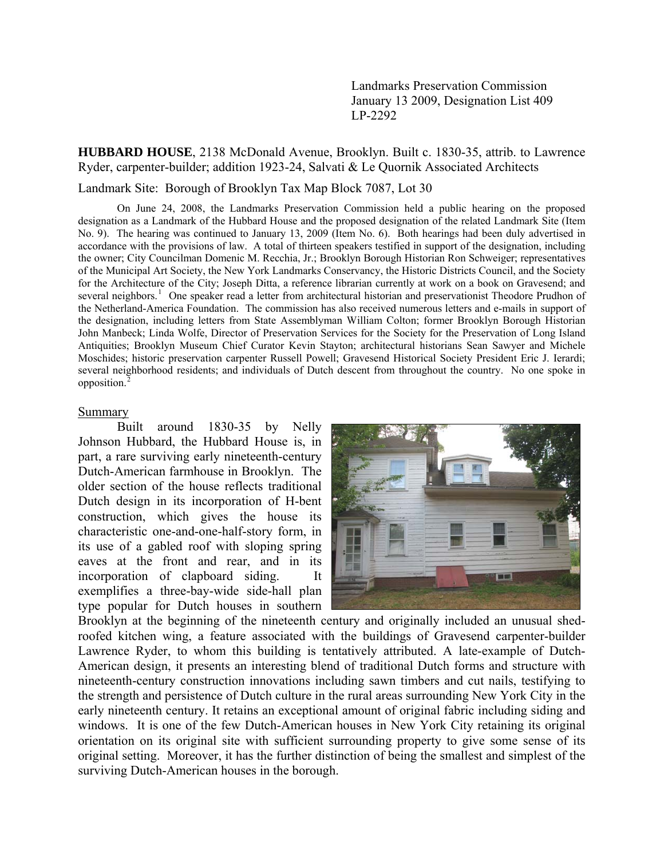Landmarks Preservation Commission January 13 2009, Designation List 409 LP-2292

**HUBBARD HOUSE**, 2138 McDonald Avenue, Brooklyn. Built c. 1830-35, attrib. to Lawrence Ryder, carpenter-builder; addition 1923-24, Salvati & Le Quornik Associated Architects

Landmark Site: Borough of Brooklyn Tax Map Block 7087, Lot 30

On June 24, 2008, the Landmarks Preservation Commission held a public hearing on the proposed designation as a Landmark of the Hubbard House and the proposed designation of the related Landmark Site (Item No. 9). The hearing was continued to January 13, 2009 (Item No. 6). Both hearings had been duly advertised in accordance with the provisions of law. A total of thirteen speakers testified in support of the designation, including the owner; City Councilman Domenic M. Recchia, Jr.; Brooklyn Borough Historian Ron Schweiger; representatives of the Municipal Art Society, the New York Landmarks Conservancy, the Historic Districts Council, and the Society for the Architecture of the City; Joseph Ditta, a reference librarian currently at work on a book on Gravesend; and several neighbors.<sup>[1](#page-18-0)</sup> One speaker read a letter from architectural historian and preservationist Theodore Prudhon of the Netherland-America Foundation. The commission has also received numerous letters and e-mails in support of the designation, including letters from State Assemblyman William Colton; former Brooklyn Borough Historian John Manbeck; Linda Wolfe, Director of Preservation Services for the Society for the Preservation of Long Island Antiquities; Brooklyn Museum Chief Curator Kevin Stayton; architectural historians Sean Sawyer and Michele Moschides; historic preservation carpenter Russell Powell; Gravesend Historical Society President Eric J. Ierardi; several neighborhood residents; and individuals of Dutch descent from throughout the country. No one spoke in opposition.[2](#page-18-1)

#### Summary

 Built around 1830-35 by Nelly Johnson Hubbard, the Hubbard House is, in part, a rare surviving early nineteenth-century Dutch-American farmhouse in Brooklyn. The older section of the house reflects traditional Dutch design in its incorporation of H-bent construction, which gives the house its characteristic one-and-one-half-story form, in its use of a gabled roof with sloping spring eaves at the front and rear, and in its incorporation of clapboard siding. It exemplifies a three-bay-wide side-hall plan type popular for Dutch houses in southern



Brooklyn at the beginning of the nineteenth century and originally included an unusual shedroofed kitchen wing, a feature associated with the buildings of Gravesend carpenter-builder Lawrence Ryder, to whom this building is tentatively attributed. A late-example of Dutch-American design, it presents an interesting blend of traditional Dutch forms and structure with nineteenth-century construction innovations including sawn timbers and cut nails, testifying to the strength and persistence of Dutch culture in the rural areas surrounding New York City in the early nineteenth century. It retains an exceptional amount of original fabric including siding and windows. It is one of the few Dutch-American houses in New York City retaining its original orientation on its original site with sufficient surrounding property to give some sense of its original setting. Moreover, it has the further distinction of being the smallest and simplest of the surviving Dutch-American houses in the borough.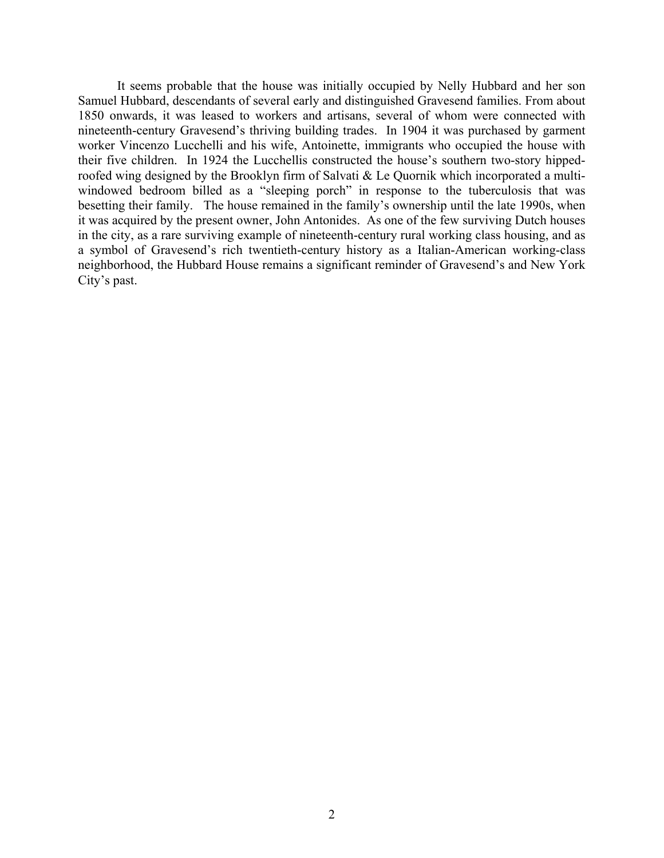It seems probable that the house was initially occupied by Nelly Hubbard and her son Samuel Hubbard, descendants of several early and distinguished Gravesend families. From about 1850 onwards, it was leased to workers and artisans, several of whom were connected with nineteenth-century Gravesend's thriving building trades. In 1904 it was purchased by garment worker Vincenzo Lucchelli and his wife, Antoinette, immigrants who occupied the house with their five children. In 1924 the Lucchellis constructed the house's southern two-story hippedroofed wing designed by the Brooklyn firm of Salvati & Le Quornik which incorporated a multiwindowed bedroom billed as a "sleeping porch" in response to the tuberculosis that was besetting their family. The house remained in the family's ownership until the late 1990s, when it was acquired by the present owner, John Antonides. As one of the few surviving Dutch houses in the city, as a rare surviving example of nineteenth-century rural working class housing, and as a symbol of Gravesend's rich twentieth-century history as a Italian-American working-class neighborhood, the Hubbard House remains a significant reminder of Gravesend's and New York City's past.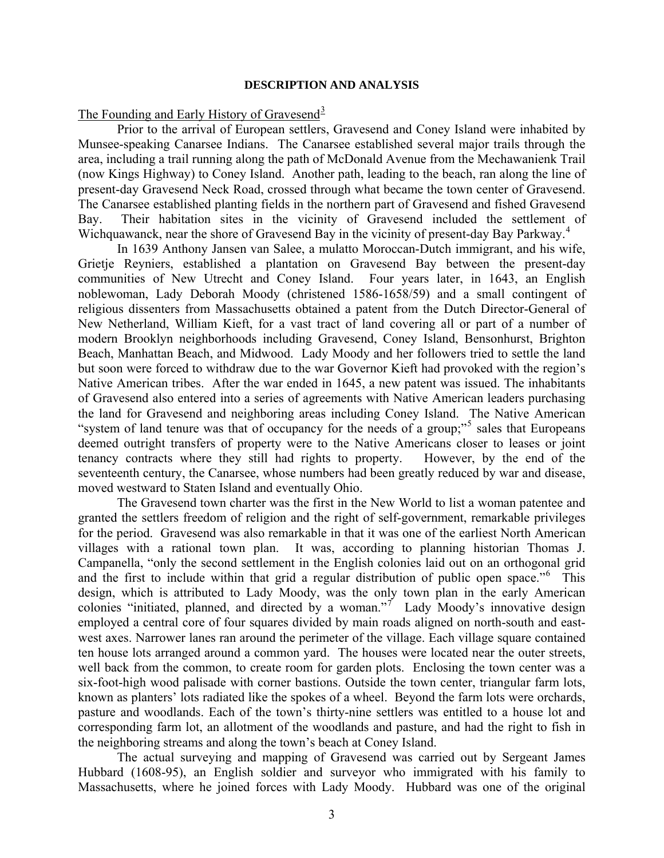#### **DESCRIPTION AND ANALYSIS**

## The Founding and Early History of Gravesend<sup>[3](#page-18-1)</sup>

 Prior to the arrival of European settlers, Gravesend and Coney Island were inhabited by Munsee-speaking Canarsee Indians. The Canarsee established several major trails through the area, including a trail running along the path of McDonald Avenue from the Mechawanienk Trail (now Kings Highway) to Coney Island. Another path, leading to the beach, ran along the line of present-day Gravesend Neck Road, crossed through what became the town center of Gravesend. The Canarsee established planting fields in the northern part of Gravesend and fished Gravesend Bay. Their habitation sites in the vicinity of Gravesend included the settlement of Wichquawanck, near the shore of Gravesend Bay in the vicinity of present-day Bay Parkway.<sup>[4](#page-18-1)</sup>

 In 1639 Anthony Jansen van Salee, a mulatto Moroccan-Dutch immigrant, and his wife, Grietje Reyniers, established a plantation on Gravesend Bay between the present-day communities of New Utrecht and Coney Island. Four years later, in 1643, an English noblewoman, Lady Deborah Moody (christened 1586-1658/59) and a small contingent of religious dissenters from Massachusetts obtained a patent from the Dutch Director-General of New Netherland, William Kieft, for a vast tract of land covering all or part of a number of modern Brooklyn neighborhoods including Gravesend, Coney Island, Bensonhurst, Brighton Beach, Manhattan Beach, and Midwood. Lady Moody and her followers tried to settle the land but soon were forced to withdraw due to the war Governor Kieft had provoked with the region's Native American tribes. After the war ended in 1645, a new patent was issued. The inhabitants of Gravesend also entered into a series of agreements with Native American leaders purchasing the land for Gravesend and neighboring areas including Coney Island. The Native American "system of land tenure was that of occupancy for the needs of a group;"<sup>[5](#page-18-1)</sup> sales that Europeans deemed outright transfers of property were to the Native Americans closer to leases or joint tenancy contracts where they still had rights to property. However, by the end of the seventeenth century, the Canarsee, whose numbers had been greatly reduced by war and disease, moved westward to Staten Island and eventually Ohio.

The Gravesend town charter was the first in the New World to list a woman patentee and granted the settlers freedom of religion and the right of self-government, remarkable privileges for the period. Gravesend was also remarkable in that it was one of the earliest North American villages with a rational town plan. It was, according to planning historian Thomas J. Campanella, "only the second settlement in the English colonies laid out on an orthogonal grid and the first to include within that grid a regular distribution of public open space."<sup>[6](#page-18-1)</sup> This design, which is attributed to Lady Moody, was the only town plan in the early American colonies "initiated, planned, and directed by a woman."<sup>[7](#page-18-1)</sup> Lady Moody's innovative design employed a central core of four squares divided by main roads aligned on north-south and eastwest axes. Narrower lanes ran around the perimeter of the village. Each village square contained ten house lots arranged around a common yard. The houses were located near the outer streets, well back from the common, to create room for garden plots. Enclosing the town center was a six-foot-high wood palisade with corner bastions. Outside the town center, triangular farm lots, known as planters' lots radiated like the spokes of a wheel. Beyond the farm lots were orchards, pasture and woodlands. Each of the town's thirty-nine settlers was entitled to a house lot and corresponding farm lot, an allotment of the woodlands and pasture, and had the right to fish in the neighboring streams and along the town's beach at Coney Island.

 The actual surveying and mapping of Gravesend was carried out by Sergeant James Hubbard (1608-95), an English soldier and surveyor who immigrated with his family to Massachusetts, where he joined forces with Lady Moody. Hubbard was one of the original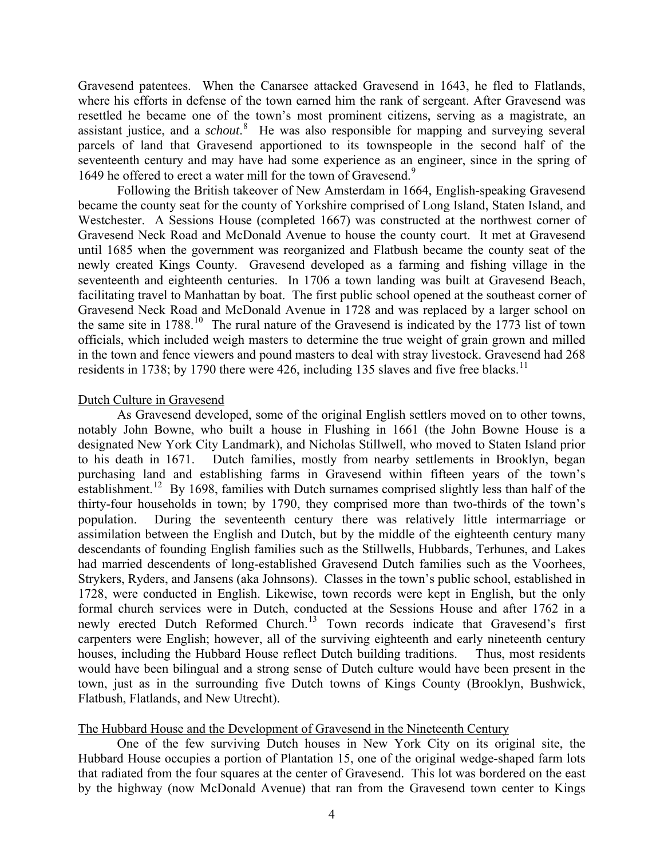Gravesend patentees. When the Canarsee attacked Gravesend in 1643, he fled to Flatlands, where his efforts in defense of the town earned him the rank of sergeant. After Gravesend was resettled he became one of the town's most prominent citizens, serving as a magistrate, an assistant justice, and a *schout*. [8](#page-18-1) He was also responsible for mapping and surveying several parcels of land that Gravesend apportioned to its townspeople in the second half of the seventeenth century and may have had some experience as an engineer, since in the spring of 164[9](#page-18-1) he offered to erect a water mill for the town of Gravesend.<sup>9</sup>

 Following the British takeover of New Amsterdam in 1664, English-speaking Gravesend became the county seat for the county of Yorkshire comprised of Long Island, Staten Island, and Westchester. A Sessions House (completed 1667) was constructed at the northwest corner of Gravesend Neck Road and McDonald Avenue to house the county court. It met at Gravesend until 1685 when the government was reorganized and Flatbush became the county seat of the newly created Kings County. Gravesend developed as a farming and fishing village in the seventeenth and eighteenth centuries. In 1706 a town landing was built at Gravesend Beach, facilitating travel to Manhattan by boat. The first public school opened at the southeast corner of Gravesend Neck Road and McDonald Avenue in 1728 and was replaced by a larger school on the same site in  $1788$ <sup>[10](#page-18-1)</sup>. The rural nature of the Gravesend is indicated by the  $1773$  list of town officials, which included weigh masters to determine the true weight of grain grown and milled in the town and fence viewers and pound masters to deal with stray livestock. Gravesend had 268 residents in 1738; by 1790 there were 426, including 135 slaves and five free blacks.<sup>[11](#page-18-1)</sup>

## Dutch Culture in Gravesend

 As Gravesend developed, some of the original English settlers moved on to other towns, notably John Bowne, who built a house in Flushing in 1661 (the John Bowne House is a designated New York City Landmark), and Nicholas Stillwell, who moved to Staten Island prior to his death in 1671. Dutch families, mostly from nearby settlements in Brooklyn, began purchasing land and establishing farms in Gravesend within fifteen years of the town's establishment.<sup>[12](#page-18-1)</sup> By 1698, families with Dutch surnames comprised slightly less than half of the thirty-four households in town; by 1790, they comprised more than two-thirds of the town's population. During the seventeenth century there was relatively little intermarriage or assimilation between the English and Dutch, but by the middle of the eighteenth century many descendants of founding English families such as the Stillwells, Hubbards, Terhunes, and Lakes had married descendents of long-established Gravesend Dutch families such as the Voorhees, Strykers, Ryders, and Jansens (aka Johnsons). Classes in the town's public school, established in 1728, were conducted in English. Likewise, town records were kept in English, but the only formal church services were in Dutch, conducted at the Sessions House and after 1762 in a newly erected Dutch Reformed Church.<sup>[13](#page-18-1)</sup> Town records indicate that Gravesend's first carpenters were English; however, all of the surviving eighteenth and early nineteenth century houses, including the Hubbard House reflect Dutch building traditions. Thus, most residents would have been bilingual and a strong sense of Dutch culture would have been present in the town, just as in the surrounding five Dutch towns of Kings County (Brooklyn, Bushwick, Flatbush, Flatlands, and New Utrecht).

### The Hubbard House and the Development of Gravesend in the Nineteenth Century

One of the few surviving Dutch houses in New York City on its original site, the Hubbard House occupies a portion of Plantation 15, one of the original wedge-shaped farm lots that radiated from the four squares at the center of Gravesend. This lot was bordered on the east by the highway (now McDonald Avenue) that ran from the Gravesend town center to Kings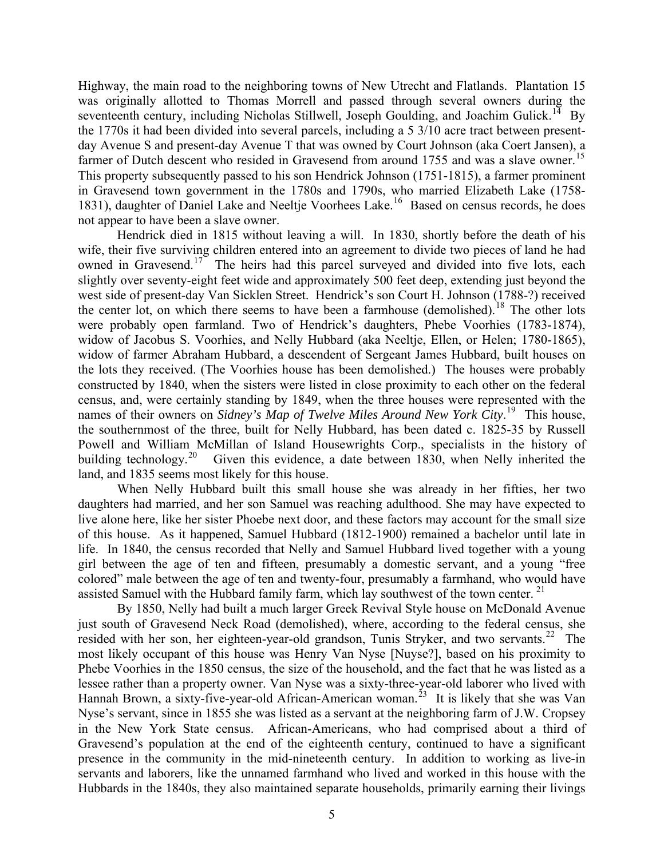Highway, the main road to the neighboring towns of New Utrecht and Flatlands. Plantation 15 was originally allotted to Thomas Morrell and passed through several owners during the seventeenth century, including Nicholas Stillwell, Joseph Goulding, and Joachim Gulick.<sup>[14](#page-18-1)</sup> By the 1770s it had been divided into several parcels, including a 5 3/10 acre tract between presentday Avenue S and present-day Avenue T that was owned by Court Johnson (aka Coert Jansen), a farmer of Dutch descent who resided in Gravesend from around 1755 and was a slave owner.<sup>[15](#page-18-1)</sup> This property subsequently passed to his son Hendrick Johnson (1751-1815), a farmer prominent in Gravesend town government in the 1780s and 1790s, who married Elizabeth Lake (1758- 1831), daughter of Daniel Lake and Neeltje Voorhees Lake.<sup>[16](#page-18-1)</sup> Based on census records, he does not appear to have been a slave owner.

Hendrick died in 1815 without leaving a will. In 1830, shortly before the death of his wife, their five surviving children entered into an agreement to divide two pieces of land he had owned in Gravesend.<sup>[17](#page-18-1)</sup> The heirs had this parcel surveyed and divided into five lots, each slightly over seventy-eight feet wide and approximately 500 feet deep, extending just beyond the west side of present-day Van Sicklen Street. Hendrick's son Court H. Johnson (1788-?) received the center lot, on which there seems to have been a farmhouse (demolished).<sup>[18](#page-18-1)</sup> The other lots were probably open farmland. Two of Hendrick's daughters, Phebe Voorhies (1783-1874), widow of Jacobus S. Voorhies, and Nelly Hubbard (aka Neeltje, Ellen, or Helen; 1780-1865), widow of farmer Abraham Hubbard, a descendent of Sergeant James Hubbard, built houses on the lots they received. (The Voorhies house has been demolished.) The houses were probably constructed by 1840, when the sisters were listed in close proximity to each other on the federal census, and, were certainly standing by 1849, when the three houses were represented with the names of their owners on *Sidney's Map of Twelve Miles Around New York City*. [19](#page-18-1) This house, the southernmost of the three, built for Nelly Hubbard, has been dated c. 1825-35 by Russell Powell and William McMillan of Island Housewrights Corp., specialists in the history of building technology.<sup>[20](#page-18-1)</sup> Given this evidence, a date between 1830, when Nelly inherited the land, and 1835 seems most likely for this house.

When Nelly Hubbard built this small house she was already in her fifties, her two daughters had married, and her son Samuel was reaching adulthood. She may have expected to live alone here, like her sister Phoebe next door, and these factors may account for the small size of this house. As it happened, Samuel Hubbard (1812-1900) remained a bachelor until late in life. In 1840, the census recorded that Nelly and Samuel Hubbard lived together with a young girl between the age of ten and fifteen, presumably a domestic servant, and a young "free colored" male between the age of ten and twenty-four, presumably a farmhand, who would have assisted Samuel with the Hubbard family farm, which lay southwest of the town center.  $2<sup>1</sup>$ 

 By 1850, Nelly had built a much larger Greek Revival Style house on McDonald Avenue just south of Gravesend Neck Road (demolished), where, according to the federal census, she resided with her son, her eighteen-year-old grandson, Tunis Stryker, and two servants.<sup>[22](#page-18-1)</sup> The most likely occupant of this house was Henry Van Nyse [Nuyse?], based on his proximity to Phebe Voorhies in the 1850 census, the size of the household, and the fact that he was listed as a lessee rather than a property owner. Van Nyse was a sixty-three-year-old laborer who lived with Hannah Brown, a sixty-five-year-old African-American woman.<sup>[23](#page-18-1)</sup> It is likely that she was Van Nyse's servant, since in 1855 she was listed as a servant at the neighboring farm of J.W. Cropsey in the New York State census. African-Americans, who had comprised about a third of Gravesend's population at the end of the eighteenth century, continued to have a significant presence in the community in the mid-nineteenth century. In addition to working as live-in servants and laborers, like the unnamed farmhand who lived and worked in this house with the Hubbards in the 1840s, they also maintained separate households, primarily earning their livings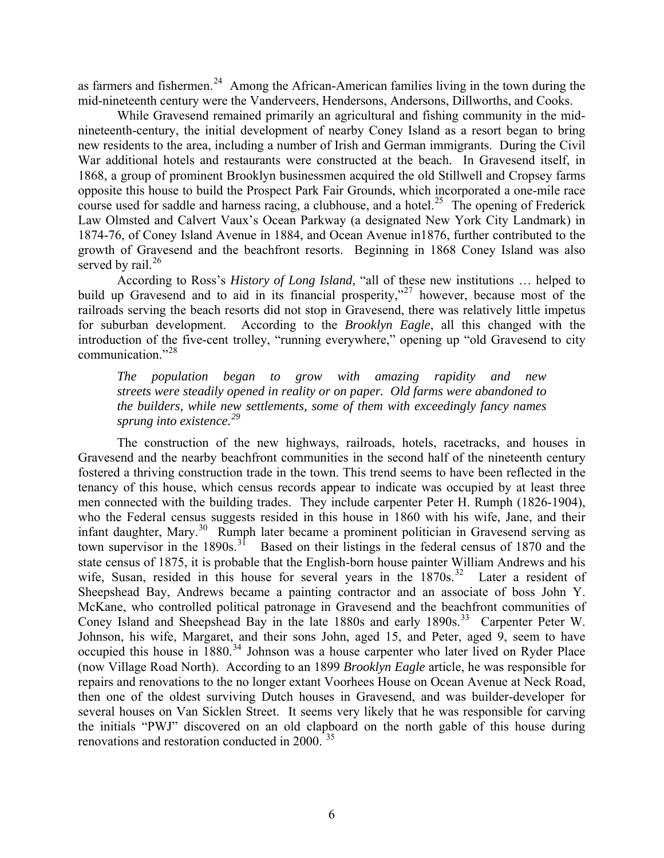as farmers and fishermen.<sup>[24](#page-18-1)</sup> Among the African-American families living in the town during the mid-nineteenth century were the Vanderveers, Hendersons, Andersons, Dillworths, and Cooks.

While Gravesend remained primarily an agricultural and fishing community in the midnineteenth-century, the initial development of nearby Coney Island as a resort began to bring new residents to the area, including a number of Irish and German immigrants. During the Civil War additional hotels and restaurants were constructed at the beach. In Gravesend itself, in 1868, a group of prominent Brooklyn businessmen acquired the old Stillwell and Cropsey farms opposite this house to build the Prospect Park Fair Grounds, which incorporated a one-mile race course used for saddle and harness racing, a clubhouse, and a hotel.<sup>[25](#page-18-1)</sup> The opening of Frederick Law Olmsted and Calvert Vaux's Ocean Parkway (a designated New York City Landmark) in 1874-76, of Coney Island Avenue in 1884, and Ocean Avenue in1876, further contributed to the growth of Gravesend and the beachfront resorts. Beginning in 1868 Coney Island was also served by rail. $^{26}$  $^{26}$  $^{26}$ 

According to Ross's *History of Long Island,* "all of these new institutions … helped to build up Gravesend and to aid in its financial prosperity,"<sup>[27](#page-18-1)</sup> however, because most of the railroads serving the beach resorts did not stop in Gravesend, there was relatively little impetus for suburban development. According to the *Brooklyn Eagle*, all this changed with the introduction of the five-cent trolley, "running everywhere," opening up "old Gravesend to city communication."[28](#page-18-1)

*The population began to grow with amazing rapidity and new streets were steadily opened in reality or on paper. Old farms were abandoned to the builders, while new settlements, some of them with exceedingly fancy names sprung into existence.[29](#page-18-1)*

The construction of the new highways, railroads, hotels, racetracks, and houses in Gravesend and the nearby beachfront communities in the second half of the nineteenth century fostered a thriving construction trade in the town. This trend seems to have been reflected in the tenancy of this house, which census records appear to indicate was occupied by at least three men connected with the building trades. They include carpenter Peter H. Rumph (1826-1904), who the Federal census suggests resided in this house in 1860 with his wife, Jane, and their infant daughter, Mary.[30](#page-18-1) Rumph later became a prominent politician in Gravesend serving as town supervisor in the 1890s.<sup>[31](#page-18-1)</sup> Based on their listings in the federal census of 1870 and the state census of 1875, it is probable that the English-born house painter William Andrews and his wife, Susan, resided in this house for several years in the  $1870s$ .<sup>[32](#page-18-1)</sup> Later a resident of Sheepshead Bay, Andrews became a painting contractor and an associate of boss John Y. McKane, who controlled political patronage in Gravesend and the beachfront communities of Coney Island and Sheepshead Bay in the late 1880s and early 1890s.<sup>[33](#page-18-1)</sup> Carpenter Peter W. Johnson, his wife, Margaret, and their sons John, aged 15, and Peter, aged 9, seem to have occupied this house in 1880.<sup>[34](#page-18-1)</sup> Johnson was a house carpenter who later lived on Ryder Place (now Village Road North). According to an 1899 *Brooklyn Eagle* article, he was responsible for repairs and renovations to the no longer extant Voorhees House on Ocean Avenue at Neck Road, then one of the oldest surviving Dutch houses in Gravesend, and was builder-developer for several houses on Van Sicklen Street. It seems very likely that he was responsible for carving the initials "PWJ" discovered on an old clapboard on the north gable of this house during renovations and restoration conducted in 2000.<sup>[35](#page-18-1)</sup>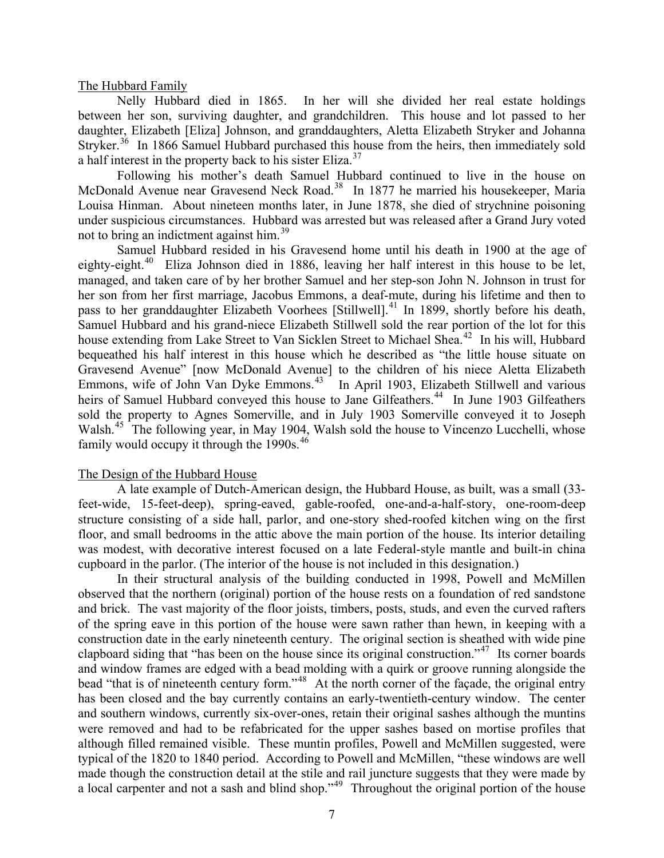The Hubbard Family

 Nelly Hubbard died in 1865. In her will she divided her real estate holdings between her son, surviving daughter, and grandchildren. This house and lot passed to her daughter, Elizabeth [Eliza] Johnson, and granddaughters, Aletta Elizabeth Stryker and Johanna Stryker.<sup>[36](#page-18-1)</sup> In 1866 Samuel Hubbard purchased this house from the heirs, then immediately sold a half interest in the property back to his sister Eliza.<sup>[37](#page-18-1)</sup>

Following his mother's death Samuel Hubbard continued to live in the house on McDonald Avenue near Gravesend Neck Road.<sup>[38](#page-18-1)</sup> In 1877 he married his housekeeper, Maria Louisa Hinman. About nineteen months later, in June 1878, she died of strychnine poisoning under suspicious circumstances. Hubbard was arrested but was released after a Grand Jury voted not to bring an indictment against him.[39](#page-18-1)

Samuel Hubbard resided in his Gravesend home until his death in 1900 at the age of eighty-eight.<sup>[40](#page-18-1)</sup> Eliza Johnson died in 1886, leaving her half interest in this house to be let, managed, and taken care of by her brother Samuel and her step-son John N. Johnson in trust for her son from her first marriage, Jacobus Emmons, a deaf-mute, during his lifetime and then to pass to her granddaughter Elizabeth Voorhees [Stillwell].<sup>[41](#page-18-1)</sup> In 1899, shortly before his death, Samuel Hubbard and his grand-niece Elizabeth Stillwell sold the rear portion of the lot for this house extending from Lake Street to Van Sicklen Street to Michael Shea.<sup>[42](#page-18-1)</sup> In his will, Hubbard bequeathed his half interest in this house which he described as "the little house situate on Gravesend Avenue" [now McDonald Avenue] to the children of his niece Aletta Elizabeth Emmons, wife of John Van Dyke Emmons.<sup>[43](#page-18-1)</sup> In April 1903, Elizabeth Stillwell and various heirs of Samuel Hubbard conveyed this house to Jane Gilfeathers.<sup>[44](#page-18-1)</sup> In June 1903 Gilfeathers sold the property to Agnes Somerville, and in July 1903 Somerville conveyed it to Joseph Walsh.<sup>[45](#page-18-1)</sup> The following year, in May 1904, Walsh sold the house to Vincenzo Lucchelli, whose family would occupy it through the  $1990s$ .<sup>[46](#page-18-1)</sup>

#### The Design of the Hubbard House

A late example of Dutch-American design, the Hubbard House, as built, was a small (33 feet-wide, 15-feet-deep), spring-eaved, gable-roofed, one-and-a-half-story, one-room-deep structure consisting of a side hall, parlor, and one-story shed-roofed kitchen wing on the first floor, and small bedrooms in the attic above the main portion of the house. Its interior detailing was modest, with decorative interest focused on a late Federal-style mantle and built-in china cupboard in the parlor. (The interior of the house is not included in this designation.)

In their structural analysis of the building conducted in 1998, Powell and McMillen observed that the northern (original) portion of the house rests on a foundation of red sandstone and brick. The vast majority of the floor joists, timbers, posts, studs, and even the curved rafters of the spring eave in this portion of the house were sawn rather than hewn, in keeping with a construction date in the early nineteenth century. The original section is sheathed with wide pine clapboard siding that "has been on the house since its original construction."[47](#page-18-1) Its corner boards and window frames are edged with a bead molding with a quirk or groove running alongside the bead "that is of nineteenth century form."<sup>[48](#page-18-1)</sup> At the north corner of the façade, the original entry has been closed and the bay currently contains an early-twentieth-century window. The center and southern windows, currently six-over-ones, retain their original sashes although the muntins were removed and had to be refabricated for the upper sashes based on mortise profiles that although filled remained visible. These muntin profiles, Powell and McMillen suggested, were typical of the 1820 to 1840 period. According to Powell and McMillen, "these windows are well made though the construction detail at the stile and rail juncture suggests that they were made by a local carpenter and not a sash and blind shop.<sup>"[49](#page-18-1)</sup> Throughout the original portion of the house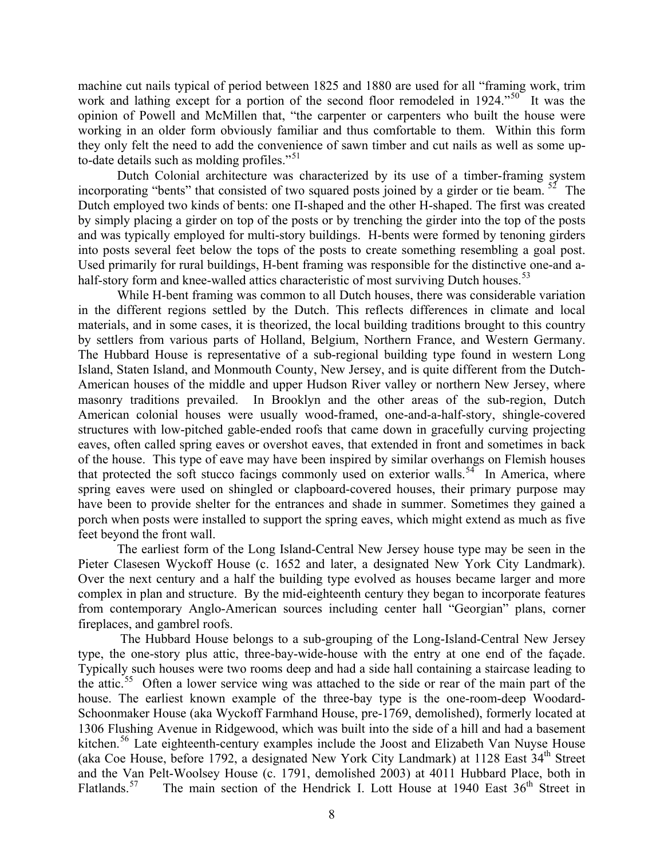machine cut nails typical of period between 1825 and 1880 are used for all "framing work, trim work and lathing except for a portion of the second floor remodeled in 1924."<sup>[50](#page-18-1)</sup> It was the opinion of Powell and McMillen that, "the carpenter or carpenters who built the house were working in an older form obviously familiar and thus comfortable to them. Within this form they only felt the need to add the convenience of sawn timber and cut nails as well as some up-to-date details such as molding profiles."<sup>[51](#page-18-1)</sup>

Dutch Colonial architecture was characterized by its use of a timber-framing system incorporating "bents" that consisted of two squared posts joined by a girder or tie beam.  $52$  The Dutch employed two kinds of bents: one Π-shaped and the other H-shaped. The first was created by simply placing a girder on top of the posts or by trenching the girder into the top of the posts and was typically employed for multi-story buildings. H-bents were formed by tenoning girders into posts several feet below the tops of the posts to create something resembling a goal post. Used primarily for rural buildings, H-bent framing was responsible for the distinctive one-and a-half-story form and knee-walled attics characteristic of most surviving Dutch houses.<sup>[53](#page-18-1)</sup>

While H-bent framing was common to all Dutch houses, there was considerable variation in the different regions settled by the Dutch. This reflects differences in climate and local materials, and in some cases, it is theorized, the local building traditions brought to this country by settlers from various parts of Holland, Belgium, Northern France, and Western Germany. The Hubbard House is representative of a sub-regional building type found in western Long Island, Staten Island, and Monmouth County, New Jersey, and is quite different from the Dutch-American houses of the middle and upper Hudson River valley or northern New Jersey, where masonry traditions prevailed. In Brooklyn and the other areas of the sub-region, Dutch American colonial houses were usually wood-framed, one-and-a-half-story, shingle-covered structures with low-pitched gable-ended roofs that came down in gracefully curving projecting eaves, often called spring eaves or overshot eaves, that extended in front and sometimes in back of the house. This type of eave may have been inspired by similar overhangs on Flemish houses that protected the soft stucco facings commonly used on exterior walls.<sup>[54](#page-18-1)</sup> In America, where spring eaves were used on shingled or clapboard-covered houses, their primary purpose may have been to provide shelter for the entrances and shade in summer. Sometimes they gained a porch when posts were installed to support the spring eaves, which might extend as much as five feet beyond the front wall.

The earliest form of the Long Island-Central New Jersey house type may be seen in the Pieter Clasesen Wyckoff House (c. 1652 and later, a designated New York City Landmark). Over the next century and a half the building type evolved as houses became larger and more complex in plan and structure. By the mid-eighteenth century they began to incorporate features from contemporary Anglo-American sources including center hall "Georgian" plans, corner fireplaces, and gambrel roofs.

 The Hubbard House belongs to a sub-grouping of the Long-Island-Central New Jersey type, the one-story plus attic, three-bay-wide-house with the entry at one end of the façade. Typically such houses were two rooms deep and had a side hall containing a staircase leading to the attic.<sup>[55](#page-18-1)</sup> Often a lower service wing was attached to the side or rear of the main part of the house. The earliest known example of the three-bay type is the one-room-deep Woodard-Schoonmaker House (aka Wyckoff Farmhand House, pre-1769, demolished), formerly located at 1306 Flushing Avenue in Ridgewood, which was built into the side of a hill and had a basement kitchen.<sup>[56](#page-18-1)</sup> Late eighteenth-century examples include the Joost and Elizabeth Van Nuyse House (aka Coe House, before 1792, a designated New York City Landmark) at 1128 East 34<sup>th</sup> Street and the Van Pelt-Woolsey House (c. 1791, demolished 2003) at 4011 Hubbard Place, both in Flatlands.<sup>[57](#page-18-1)</sup> The main section of the Hendrick I. Lott House at 1940 East  $36<sup>th</sup>$  Street in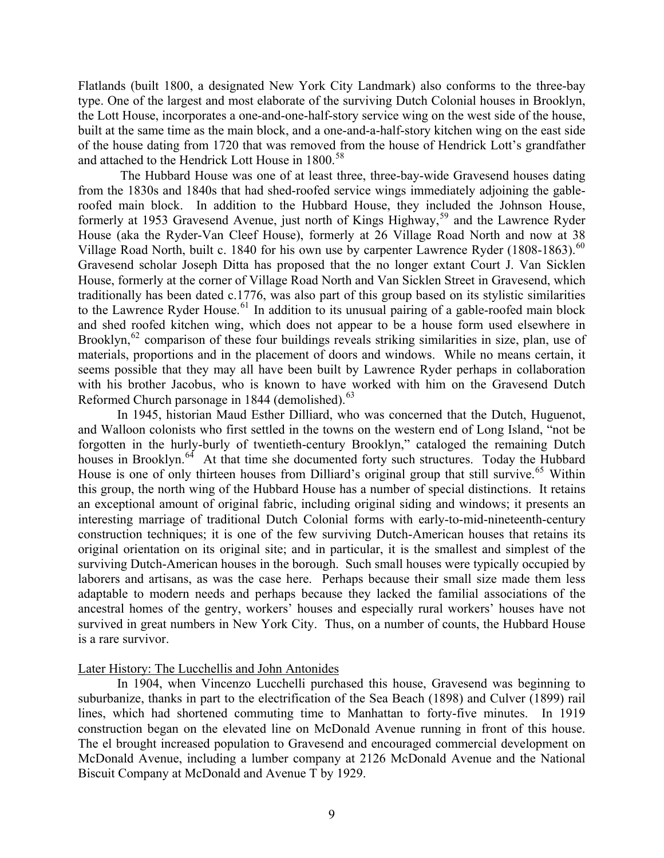Flatlands (built 1800, a designated New York City Landmark) also conforms to the three-bay type. One of the largest and most elaborate of the surviving Dutch Colonial houses in Brooklyn, the Lott House, incorporates a one-and-one-half-story service wing on the west side of the house, built at the same time as the main block, and a one-and-a-half-story kitchen wing on the east side of the house dating from 1720 that was removed from the house of Hendrick Lott's grandfather and attached to the Hendrick Lott House in 1800.<sup>[58](#page-18-1)</sup>

 The Hubbard House was one of at least three, three-bay-wide Gravesend houses dating from the 1830s and 1840s that had shed-roofed service wings immediately adjoining the gableroofed main block. In addition to the Hubbard House, they included the Johnson House, formerly at 1953 Gravesend Avenue, just north of Kings Highway,<sup>[59](#page-18-1)</sup> and the Lawrence Ryder House (aka the Ryder-Van Cleef House), formerly at 26 Village Road North and now at 38 Village Road North, built c. 1840 for his own use by carpenter Lawrence Ryder (1808-1863).<sup>[60](#page-18-1)</sup> Gravesend scholar Joseph Ditta has proposed that the no longer extant Court J. Van Sicklen House, formerly at the corner of Village Road North and Van Sicklen Street in Gravesend, which traditionally has been dated c.1776, was also part of this group based on its stylistic similarities to the Lawrence Ryder House.<sup>[61](#page-18-1)</sup> In addition to its unusual pairing of a gable-roofed main block and shed roofed kitchen wing, which does not appear to be a house form used elsewhere in Brooklyn,  $62$  comparison of these four buildings reveals striking similarities in size, plan, use of materials, proportions and in the placement of doors and windows. While no means certain, it seems possible that they may all have been built by Lawrence Ryder perhaps in collaboration with his brother Jacobus, who is known to have worked with him on the Gravesend Dutch Reformed Church parsonage in 1844 (demolished). $63$ 

In 1945, historian Maud Esther Dilliard, who was concerned that the Dutch, Huguenot, and Walloon colonists who first settled in the towns on the western end of Long Island, "not be forgotten in the hurly-burly of twentieth-century Brooklyn," cataloged the remaining Dutch houses in Brooklyn.<sup>[64](#page-18-1)</sup> At that time she documented forty such structures. Today the Hubbard House is one of only thirteen houses from Dilliard's original group that still survive.<sup>[65](#page-18-1)</sup> Within this group, the north wing of the Hubbard House has a number of special distinctions. It retains an exceptional amount of original fabric, including original siding and windows; it presents an interesting marriage of traditional Dutch Colonial forms with early-to-mid-nineteenth-century construction techniques; it is one of the few surviving Dutch-American houses that retains its original orientation on its original site; and in particular, it is the smallest and simplest of the surviving Dutch-American houses in the borough. Such small houses were typically occupied by laborers and artisans, as was the case here. Perhaps because their small size made them less adaptable to modern needs and perhaps because they lacked the familial associations of the ancestral homes of the gentry, workers' houses and especially rural workers' houses have not survived in great numbers in New York City. Thus, on a number of counts, the Hubbard House is a rare survivor.

#### Later History: The Lucchellis and John Antonides

In 1904, when Vincenzo Lucchelli purchased this house, Gravesend was beginning to suburbanize, thanks in part to the electrification of the Sea Beach (1898) and Culver (1899) rail lines, which had shortened commuting time to Manhattan to forty-five minutes. In 1919 construction began on the elevated line on McDonald Avenue running in front of this house. The el brought increased population to Gravesend and encouraged commercial development on McDonald Avenue, including a lumber company at 2126 McDonald Avenue and the National Biscuit Company at McDonald and Avenue T by 1929.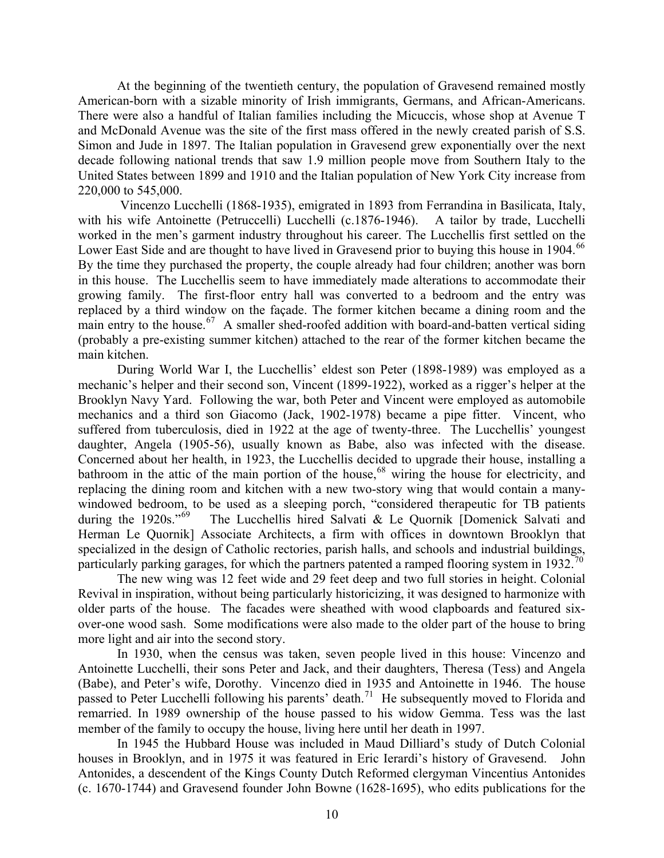At the beginning of the twentieth century, the population of Gravesend remained mostly American-born with a sizable minority of Irish immigrants, Germans, and African-Americans. There were also a handful of Italian families including the Micuccis, whose shop at Avenue T and McDonald Avenue was the site of the first mass offered in the newly created parish of S.S. Simon and Jude in 1897. The Italian population in Gravesend grew exponentially over the next decade following national trends that saw 1.9 million people move from Southern Italy to the United States between 1899 and 1910 and the Italian population of New York City increase from 220,000 to 545,000.

 Vincenzo Lucchelli (1868-1935), emigrated in 1893 from Ferrandina in Basilicata, Italy, with his wife Antoinette (Petruccelli) Lucchelli (c.1876-1946). A tailor by trade, Lucchelli worked in the men's garment industry throughout his career. The Lucchellis first settled on the Lower East Side and are thought to have lived in Gravesend prior to buying this house in 1904.<sup>66</sup> By the time they purchased the property, the couple already had four children; another was born in this house. The Lucchellis seem to have immediately made alterations to accommodate their growing family. The first-floor entry hall was converted to a bedroom and the entry was replaced by a third window on the façade. The former kitchen became a dining room and the main entry to the house.<sup>[67](#page-18-1)</sup> A smaller shed-roofed addition with board-and-batten vertical siding (probably a pre-existing summer kitchen) attached to the rear of the former kitchen became the main kitchen.

During World War I, the Lucchellis' eldest son Peter (1898-1989) was employed as a mechanic's helper and their second son, Vincent (1899-1922), worked as a rigger's helper at the Brooklyn Navy Yard. Following the war, both Peter and Vincent were employed as automobile mechanics and a third son Giacomo (Jack, 1902-1978) became a pipe fitter. Vincent, who suffered from tuberculosis, died in 1922 at the age of twenty-three. The Lucchellis' youngest daughter, Angela (1905-56), usually known as Babe, also was infected with the disease. Concerned about her health, in 1923, the Lucchellis decided to upgrade their house, installing a bathroom in the attic of the main portion of the house,<sup>[68](#page-18-1)</sup> wiring the house for electricity, and replacing the dining room and kitchen with a new two-story wing that would contain a manywindowed bedroom, to be used as a sleeping porch, "considered therapeutic for TB patients during the 1920s."<sup>69</sup> The Lucchellis hired Salvati & Le Quornik [Domenick Salvati and The Lucchellis hired Salvati & Le Quornik [Domenick Salvati and Herman Le Quornik] Associate Architects, a firm with offices in downtown Brooklyn that specialized in the design of Catholic rectories, parish halls, and schools and industrial buildings, particularly parking garages, for which the partners patented a ramped flooring system in 1932.<sup>[70](#page-18-1)</sup>

The new wing was 12 feet wide and 29 feet deep and two full stories in height. Colonial Revival in inspiration, without being particularly historicizing, it was designed to harmonize with older parts of the house. The facades were sheathed with wood clapboards and featured sixover-one wood sash. Some modifications were also made to the older part of the house to bring more light and air into the second story.

In 1930, when the census was taken, seven people lived in this house: Vincenzo and Antoinette Lucchelli, their sons Peter and Jack, and their daughters, Theresa (Tess) and Angela (Babe), and Peter's wife, Dorothy. Vincenzo died in 1935 and Antoinette in 1946. The house passed to Peter Lucchelli following his parents' death.<sup>[71](#page-18-1)</sup> He subsequently moved to Florida and remarried. In 1989 ownership of the house passed to his widow Gemma. Tess was the last member of the family to occupy the house, living here until her death in 1997.

In 1945 the Hubbard House was included in Maud Dilliard's study of Dutch Colonial houses in Brooklyn, and in 1975 it was featured in Eric Ierardi's history of Gravesend. John Antonides, a descendent of the Kings County Dutch Reformed clergyman Vincentius Antonides (c. 1670-1744) and Gravesend founder John Bowne (1628-1695), who edits publications for the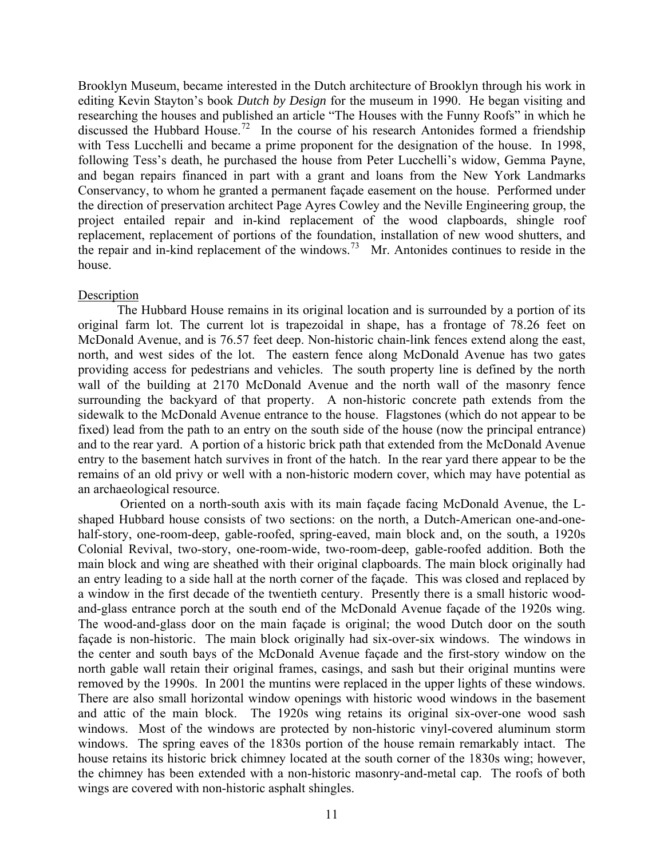Brooklyn Museum, became interested in the Dutch architecture of Brooklyn through his work in editing Kevin Stayton's book *Dutch by Design* for the museum in 1990. He began visiting and researching the houses and published an article "The Houses with the Funny Roofs" in which he discussed the Hubbard House.<sup>[72](#page-18-1)</sup> In the course of his research Antonides formed a friendship with Tess Lucchelli and became a prime proponent for the designation of the house. In 1998, following Tess's death, he purchased the house from Peter Lucchelli's widow, Gemma Payne, and began repairs financed in part with a grant and loans from the New York Landmarks Conservancy, to whom he granted a permanent façade easement on the house. Performed under the direction of preservation architect Page Ayres Cowley and the Neville Engineering group, the project entailed repair and in-kind replacement of the wood clapboards, shingle roof replacement, replacement of portions of the foundation, installation of new wood shutters, and the repair and in-kind replacement of the windows.[73](#page-18-1) Mr. Antonides continues to reside in the house.

# **Description**

The Hubbard House remains in its original location and is surrounded by a portion of its original farm lot. The current lot is trapezoidal in shape, has a frontage of 78.26 feet on McDonald Avenue, and is 76.57 feet deep. Non-historic chain-link fences extend along the east, north, and west sides of the lot. The eastern fence along McDonald Avenue has two gates providing access for pedestrians and vehicles. The south property line is defined by the north wall of the building at 2170 McDonald Avenue and the north wall of the masonry fence surrounding the backyard of that property. A non-historic concrete path extends from the sidewalk to the McDonald Avenue entrance to the house. Flagstones (which do not appear to be fixed) lead from the path to an entry on the south side of the house (now the principal entrance) and to the rear yard. A portion of a historic brick path that extended from the McDonald Avenue entry to the basement hatch survives in front of the hatch. In the rear yard there appear to be the remains of an old privy or well with a non-historic modern cover, which may have potential as an archaeological resource.

 Oriented on a north-south axis with its main façade facing McDonald Avenue, the Lshaped Hubbard house consists of two sections: on the north, a Dutch-American one-and-onehalf-story, one-room-deep, gable-roofed, spring-eaved, main block and, on the south, a 1920s Colonial Revival, two-story, one-room-wide, two-room-deep, gable-roofed addition. Both the main block and wing are sheathed with their original clapboards. The main block originally had an entry leading to a side hall at the north corner of the façade. This was closed and replaced by a window in the first decade of the twentieth century. Presently there is a small historic woodand-glass entrance porch at the south end of the McDonald Avenue façade of the 1920s wing. The wood-and-glass door on the main façade is original; the wood Dutch door on the south façade is non-historic. The main block originally had six-over-six windows. The windows in the center and south bays of the McDonald Avenue façade and the first-story window on the north gable wall retain their original frames, casings, and sash but their original muntins were removed by the 1990s. In 2001 the muntins were replaced in the upper lights of these windows. There are also small horizontal window openings with historic wood windows in the basement and attic of the main block. The 1920s wing retains its original six-over-one wood sash windows. Most of the windows are protected by non-historic vinyl-covered aluminum storm windows. The spring eaves of the 1830s portion of the house remain remarkably intact. The house retains its historic brick chimney located at the south corner of the 1830s wing; however, the chimney has been extended with a non-historic masonry-and-metal cap. The roofs of both wings are covered with non-historic asphalt shingles.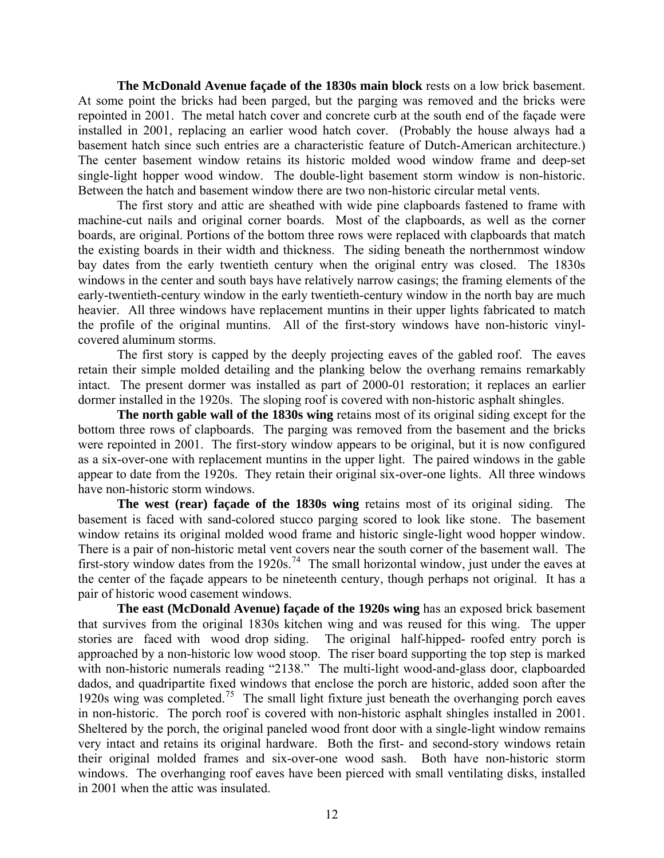**The McDonald Avenue façade of the 1830s main block** rests on a low brick basement. At some point the bricks had been parged, but the parging was removed and the bricks were repointed in 2001. The metal hatch cover and concrete curb at the south end of the façade were installed in 2001, replacing an earlier wood hatch cover. (Probably the house always had a basement hatch since such entries are a characteristic feature of Dutch-American architecture.) The center basement window retains its historic molded wood window frame and deep-set single-light hopper wood window. The double-light basement storm window is non-historic. Between the hatch and basement window there are two non-historic circular metal vents.

 The first story and attic are sheathed with wide pine clapboards fastened to frame with machine-cut nails and original corner boards. Most of the clapboards, as well as the corner boards, are original. Portions of the bottom three rows were replaced with clapboards that match the existing boards in their width and thickness. The siding beneath the northernmost window bay dates from the early twentieth century when the original entry was closed. The 1830s windows in the center and south bays have relatively narrow casings; the framing elements of the early-twentieth-century window in the early twentieth-century window in the north bay are much heavier. All three windows have replacement muntins in their upper lights fabricated to match the profile of the original muntins. All of the first-story windows have non-historic vinylcovered aluminum storms.

 The first story is capped by the deeply projecting eaves of the gabled roof. The eaves retain their simple molded detailing and the planking below the overhang remains remarkably intact. The present dormer was installed as part of 2000-01 restoration; it replaces an earlier dormer installed in the 1920s. The sloping roof is covered with non-historic asphalt shingles.

**The north gable wall of the 1830s wing** retains most of its original siding except for the bottom three rows of clapboards. The parging was removed from the basement and the bricks were repointed in 2001. The first-story window appears to be original, but it is now configured as a six-over-one with replacement muntins in the upper light. The paired windows in the gable appear to date from the 1920s. They retain their original six-over-one lights. All three windows have non-historic storm windows.

**The west (rear) façade of the 1830s wing** retains most of its original siding. The basement is faced with sand-colored stucco parging scored to look like stone. The basement window retains its original molded wood frame and historic single-light wood hopper window. There is a pair of non-historic metal vent covers near the south corner of the basement wall. The first-story window dates from the 1920s.[74](#page-18-1) The small horizontal window, just under the eaves at the center of the façade appears to be nineteenth century, though perhaps not original. It has a pair of historic wood casement windows.

**The east (McDonald Avenue) façade of the 1920s wing** has an exposed brick basement that survives from the original 1830s kitchen wing and was reused for this wing. The upper stories are faced with wood drop siding. The original half-hipped- roofed entry porch is approached by a non-historic low wood stoop. The riser board supporting the top step is marked with non-historic numerals reading "2138." The multi-light wood-and-glass door, clapboarded dados, and quadripartite fixed windows that enclose the porch are historic, added soon after the 1920s wing was completed.<sup>[75](#page-18-1)</sup> The small light fixture just beneath the overhanging porch eaves in non-historic. The porch roof is covered with non-historic asphalt shingles installed in 2001. Sheltered by the porch, the original paneled wood front door with a single-light window remains very intact and retains its original hardware. Both the first- and second-story windows retain their original molded frames and six-over-one wood sash. Both have non-historic storm windows. The overhanging roof eaves have been pierced with small ventilating disks, installed in 2001 when the attic was insulated.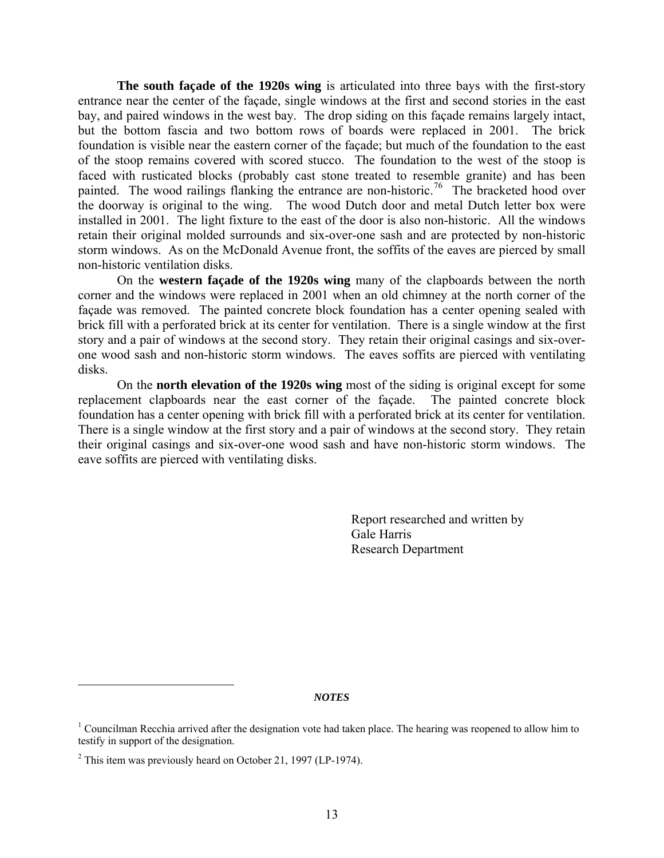**The south façade of the 1920s wing** is articulated into three bays with the first-story entrance near the center of the façade, single windows at the first and second stories in the east bay, and paired windows in the west bay. The drop siding on this façade remains largely intact, but the bottom fascia and two bottom rows of boards were replaced in 2001. The brick foundation is visible near the eastern corner of the façade; but much of the foundation to the east of the stoop remains covered with scored stucco. The foundation to the west of the stoop is faced with rusticated blocks (probably cast stone treated to resemble granite) and has been painted. The wood railings flanking the entrance are non-historic.<sup>[76](#page-18-1)</sup> The bracketed hood over the doorway is original to the wing. The wood Dutch door and metal Dutch letter box were installed in 2001. The light fixture to the east of the door is also non-historic. All the windows retain their original molded surrounds and six-over-one sash and are protected by non-historic storm windows. As on the McDonald Avenue front, the soffits of the eaves are pierced by small non-historic ventilation disks.

 On the **western façade of the 1920s wing** many of the clapboards between the north corner and the windows were replaced in 2001 when an old chimney at the north corner of the façade was removed. The painted concrete block foundation has a center opening sealed with brick fill with a perforated brick at its center for ventilation. There is a single window at the first story and a pair of windows at the second story. They retain their original casings and six-overone wood sash and non-historic storm windows. The eaves soffits are pierced with ventilating disks.

 On the **north elevation of the 1920s wing** most of the siding is original except for some replacement clapboards near the east corner of the façade. The painted concrete block foundation has a center opening with brick fill with a perforated brick at its center for ventilation. There is a single window at the first story and a pair of windows at the second story. They retain their original casings and six-over-one wood sash and have non-historic storm windows. The eave soffits are pierced with ventilating disks.

> Report researched and written by Gale Harris Research Department

*NOTES*

 $\overline{a}$ 

<sup>&</sup>lt;sup>1</sup> Councilman Recchia arrived after the designation vote had taken place. The hearing was reopened to allow him to testify in support of the designation.

 $2^2$  This item was previously heard on October 21, 1997 (LP-1974).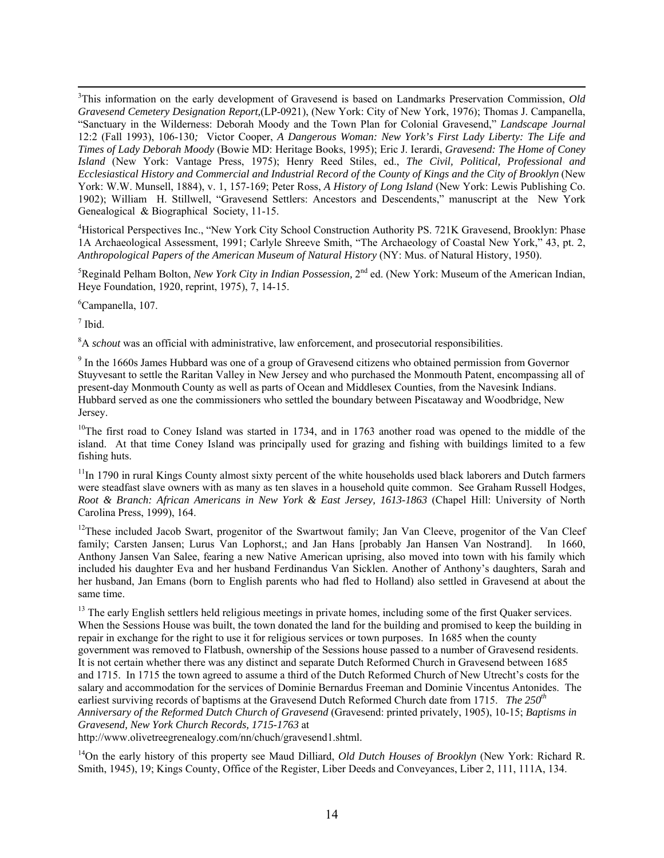3 <sup>3</sup>This information on the early development of Gravesend is based on Landmarks Preservation Commission, *Old Gravesend Cemetery Designation Report,*(LP-0921), (New York: City of New York, 1976); Thomas J. Campanella, "Sanctuary in the Wilderness: Deborah Moody and the Town Plan for Colonial Gravesend," *Landscape Journal* 12:2 (Fall 1993), 106-130*;* Victor Cooper, *A Dangerous Woman: New York's First Lady Liberty: The Life and Times of Lady Deborah Moody* (Bowie MD: Heritage Books, 1995); Eric J. Ierardi, *Gravesend: The Home of Coney Island* (New York: Vantage Press, 1975); Henry Reed Stiles, ed., *The Civil, Political, Professional and Ecclesiastical History and Commercial and Industrial Record of the County of Kings and the City of Brooklyn* (New York: W.W. Munsell, 1884), v. 1, 157-169; Peter Ross, *A History of Long Island* (New York: Lewis Publishing Co. 1902); William H. Stillwell, "Gravesend Settlers: Ancestors and Descendents," manuscript at the New York Genealogical & Biographical Society, 11-15.

<sup>4</sup>Historical Perspectives Inc., "New York City School Construction Authority PS. 721K Gravesend, Brooklyn: Phase 1A Archaeological Assessment, 1991; Carlyle Shreeve Smith, "The Archaeology of Coastal New York," 43, pt. 2, *Anthropological Papers of the American Museum of Natural History* (NY: Mus. of Natural History, 1950).

<sup>5</sup>Reginald Pelham Bolton, *New York City in Indian Possession*, 2<sup>nd</sup> ed. (New York: Museum of the American Indian, Heye Foundation, 1920, reprint, 1975), 7, 14-15.

6 Campanella, 107.

 $<sup>7</sup>$  Ibid.</sup>

<sup>8</sup>A *schout* was an official with administrative, law enforcement, and prosecutorial responsibilities.

<sup>9</sup> In the 1660s James Hubbard was one of a group of Gravesend citizens who obtained permission from Governor Stuyvesant to settle the Raritan Valley in New Jersey and who purchased the Monmouth Patent, encompassing all of present-day Monmouth County as well as parts of Ocean and Middlesex Counties, from the Navesink Indians. Hubbard served as one the commissioners who settled the boundary between Piscataway and Woodbridge, New Jersey.

 $10$ The first road to Coney Island was started in 1734, and in 1763 another road was opened to the middle of the island. At that time Coney Island was principally used for grazing and fishing with buildings limited to a few fishing huts.

 $11$ In 1790 in rural Kings County almost sixty percent of the white households used black laborers and Dutch farmers were steadfast slave owners with as many as ten slaves in a household quite common. See Graham Russell Hodges, *Root & Branch: African Americans in New York & East Jersey, 1613-1863* (Chapel Hill: University of North Carolina Press, 1999), 164.

<sup>12</sup>These included Jacob Swart, progenitor of the Swartwout family; Jan Van Cleeve, progenitor of the Van Cleef family; Carsten Jansen; Lurus Van Lophorst,; and Jan Hans [probably Jan Hansen Van Nostrand]. In 1660, Anthony Jansen Van Salee, fearing a new Native American uprising, also moved into town with his family which included his daughter Eva and her husband Ferdinandus Van Sicklen. Another of Anthony's daughters, Sarah and her husband, Jan Emans (born to English parents who had fled to Holland) also settled in Gravesend at about the same time.

<sup>13</sup> The early English settlers held religious meetings in private homes, including some of the first Quaker services. When the Sessions House was built, the town donated the land for the building and promised to keep the building in repair in exchange for the right to use it for religious services or town purposes. In 1685 when the county government was removed to Flatbush, ownership of the Sessions house passed to a number of Gravesend residents. It is not certain whether there was any distinct and separate Dutch Reformed Church in Gravesend between 1685 and 1715. In 1715 the town agreed to assume a third of the Dutch Reformed Church of New Utrecht's costs for the salary and accommodation for the services of Dominie Bernardus Freeman and Dominie Vincentus Antonides. The earliest surviving records of baptisms at the Gravesend Dutch Reformed Church date from 1715. *The 250th Anniversary of the Reformed Dutch Church of Gravesend* (Gravesend: printed privately, 1905), 10-15; *Baptisms in Gravesend, New York Church Records, 1715-1763* at

http://www.olivetreegrenealogy.com/nn/chuch/gravesend1.shtml.

14On the early history of this property see Maud Dilliard, *Old Dutch Houses of Brooklyn* (New York: Richard R. Smith, 1945), 19; Kings County, Office of the Register, Liber Deeds and Conveyances, Liber 2, 111, 111A, 134.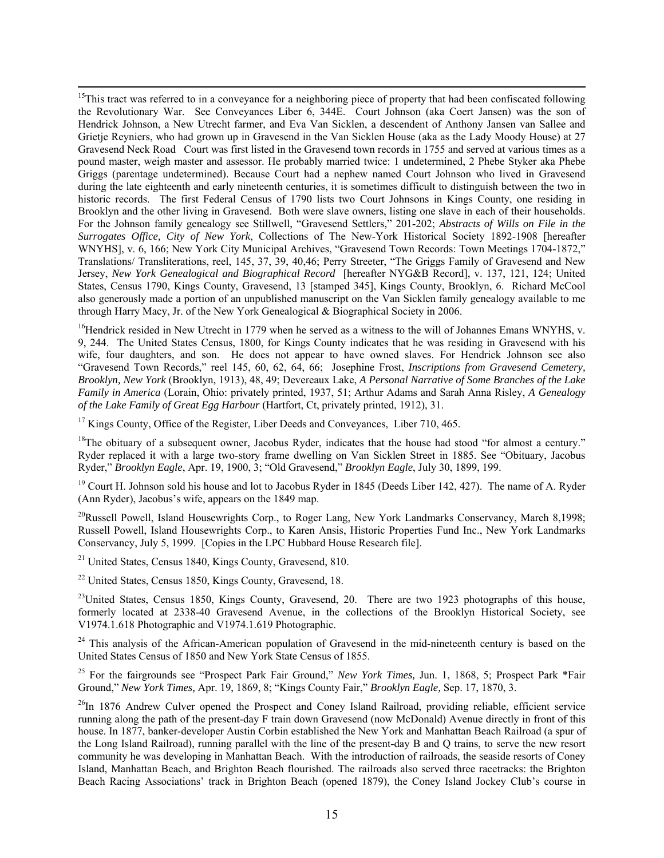<sup>15</sup>This tract was referred to in a conveyance for a neighboring piece of property that had been confiscated following the Revolutionary War. See Conveyances Liber 6, 344E. Court Johnson (aka Coert Jansen) was the son of Hendrick Johnson, a New Utrecht farmer, and Eva Van Sicklen, a descendent of Anthony Jansen van Sallee and Grietje Reyniers, who had grown up in Gravesend in the Van Sicklen House (aka as the Lady Moody House) at 27 Gravesend Neck Road Court was first listed in the Gravesend town records in 1755 and served at various times as a pound master, weigh master and assessor. He probably married twice: 1 undetermined, 2 Phebe Styker aka Phebe Griggs (parentage undetermined). Because Court had a nephew named Court Johnson who lived in Gravesend during the late eighteenth and early nineteenth centuries, it is sometimes difficult to distinguish between the two in historic records. The first Federal Census of 1790 lists two Court Johnsons in Kings County, one residing in Brooklyn and the other living in Gravesend. Both were slave owners, listing one slave in each of their households. For the Johnson family genealogy see Stillwell, "Gravesend Settlers," 201-202; *Abstracts of Wills on File in the Surrogates Office, City of New York*, Collections of The New-York Historical Society 1892-1908 [hereafter WNYHS], v. 6, 166; New York City Municipal Archives, "Gravesend Town Records: Town Meetings 1704-1872," Translations/ Transliterations, reel, 145, 37, 39, 40,46; Perry Streeter, "The Griggs Family of Gravesend and New Jersey, *New York Genealogical and Biographical Record* [hereafter NYG&B Record], v. 137, 121, 124; United States, Census 1790, Kings County, Gravesend, 13 [stamped 345], Kings County, Brooklyn, 6. Richard McCool also generously made a portion of an unpublished manuscript on the Van Sicklen family genealogy available to me through Harry Macy, Jr. of the New York Genealogical & Biographical Society in 2006.

<sup>16</sup>Hendrick resided in New Utrecht in 1779 when he served as a witness to the will of Johannes Emans WNYHS, v. 9, 244. The United States Census, 1800, for Kings County indicates that he was residing in Gravesend with his wife, four daughters, and son. He does not appear to have owned slaves. For Hendrick Johnson see also "Gravesend Town Records," reel 145, 60, 62, 64, 66; Josephine Frost, *Inscriptions from Gravesend Cemetery, Brooklyn, New York* (Brooklyn, 1913), 48, 49; Devereaux Lake, *A Personal Narrative of Some Branches of the Lake Family in America* (Lorain, Ohio: privately printed, 1937, 51; Arthur Adams and Sarah Anna Risley, *A Genealogy of the Lake Family of Great Egg Harbour* (Hartfort, Ct, privately printed, 1912), 31.

<sup>17</sup> Kings County, Office of the Register, Liber Deeds and Conveyances, Liber 710, 465.

<sup>18</sup>The obituary of a subsequent owner, Jacobus Ryder, indicates that the house had stood "for almost a century." Ryder replaced it with a large two-story frame dwelling on Van Sicklen Street in 1885. See "Obituary, Jacobus Ryder," *Brooklyn Eagle*, Apr. 19, 1900, 3; "Old Gravesend," *Brooklyn Eagle*, July 30, 1899, 199.

<sup>19</sup> Court H. Johnson sold his house and lot to Jacobus Ryder in 1845 (Deeds Liber 142, 427). The name of A. Ryder (Ann Ryder), Jacobus's wife, appears on the 1849 map.

<sup>20</sup>Russell Powell, Island Housewrights Corp., to Roger Lang, New York Landmarks Conservancy, March 8,1998; Russell Powell, Island Housewrights Corp., to Karen Ansis, Historic Properties Fund Inc., New York Landmarks Conservancy, July 5, 1999. [Copies in the LPC Hubbard House Research file].

<sup>21</sup> United States, Census 1840, Kings County, Gravesend, 810.

22 United States, Census 1850, Kings County, Gravesend, 18.

<sup>23</sup>United States, Census 1850, Kings County, Gravesend, 20. There are two 1923 photographs of this house, formerly located at 2338-40 Gravesend Avenue, in the collections of the Brooklyn Historical Society, see V1974.1.618 Photographic and V1974.1.619 Photographic.

<sup>24</sup> This analysis of the African-American population of Gravesend in the mid-nineteenth century is based on the United States Census of 1850 and New York State Census of 1855.

25 For the fairgrounds see "Prospect Park Fair Ground," *New York Times,* Jun. 1, 1868, 5; Prospect Park \*Fair Ground," *New York Times,* Apr. 19, 1869, 8; "Kings County Fair," *Brooklyn Eagle,* Sep. 17, 1870, 3.

<sup>26</sup>In 1876 Andrew Culver opened the Prospect and Coney Island Railroad, providing reliable, efficient service running along the path of the present-day F train down Gravesend (now McDonald) Avenue directly in front of this house. In 1877, banker-developer Austin Corbin established the New York and Manhattan Beach Railroad (a spur of the Long Island Railroad), running parallel with the line of the present-day B and Q trains, to serve the new resort community he was developing in Manhattan Beach. With the introduction of railroads, the seaside resorts of Coney Island, Manhattan Beach, and Brighton Beach flourished. The railroads also served three racetracks: the Brighton Beach Racing Associations' track in Brighton Beach (opened 1879), the Coney Island Jockey Club's course in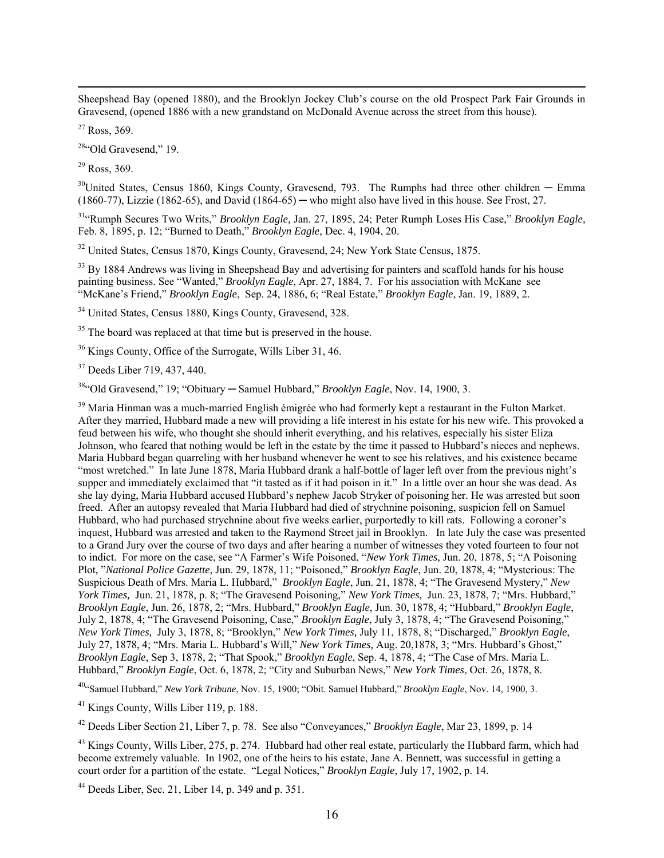Sheepshead Bay (opened 1880), and the Brooklyn Jockey Club's course on the old Prospect Park Fair Grounds in Gravesend, (opened 1886 with a new grandstand on McDonald Avenue across the street from this house).

 $27$  Ross, 369.

<sup>28</sup>"Old Gravesend," 19.

 $29$  Ross, 369.

 $30$ United States, Census 1860, Kings County, Gravesend, 793. The Rumphs had three other children — Emma  $(1860-77)$ , Lizzie  $(1862-65)$ , and David  $(1864-65)$  — who might also have lived in this house. See Frost, 27.

31"Rumph Secures Two Writs," *Brooklyn Eagle,* Jan. 27, 1895, 24; Peter Rumph Loses His Case," *Brooklyn Eagle,* Feb. 8, 1895, p. 12; "Burned to Death," *Brooklyn Eagle,* Dec. 4, 1904, 20.

<sup>32</sup> United States, Census 1870, Kings County, Gravesend, 24; New York State Census, 1875.

<sup>33</sup> By 1884 Andrews was living in Sheepshead Bay and advertising for painters and scaffold hands for his house painting business. See "Wanted," *Brooklyn Eagle*, Apr. 27, 1884, 7. For his association with McKane see "McKane's Friend," *Brooklyn Eagle*, Sep. 24, 1886, 6; "Real Estate," *Brooklyn Eagle*, Jan. 19, 1889, 2.

<sup>34</sup> United States, Census 1880, Kings County, Gravesend, 328.

<sup>35</sup> The board was replaced at that time but is preserved in the house.

<sup>36</sup> Kings County, Office of the Surrogate, Wills Liber 31, 46.

37 Deeds Liber 719, 437, 440.

<sup>38</sup>"Old Gravesend," 19: "Obituary — Samuel Hubbard," *Brooklyn Eagle*, Nov. 14, 1900, 3.

<sup>39</sup> Maria Hinman was a much-married English émigrée who had formerly kept a restaurant in the Fulton Market. After they married, Hubbard made a new will providing a life interest in his estate for his new wife. This provoked a feud between his wife, who thought she should inherit everything, and his relatives, especially his sister Eliza Johnson, who feared that nothing would be left in the estate by the time it passed to Hubbard's nieces and nephews. Maria Hubbard began quarreling with her husband whenever he went to see his relatives, and his existence became "most wretched." In late June 1878, Maria Hubbard drank a half-bottle of lager left over from the previous night's supper and immediately exclaimed that "it tasted as if it had poison in it." In a little over an hour she was dead. As she lay dying, Maria Hubbard accused Hubbard's nephew Jacob Stryker of poisoning her. He was arrested but soon freed. After an autopsy revealed that Maria Hubbard had died of strychnine poisoning, suspicion fell on Samuel Hubbard, who had purchased strychnine about five weeks earlier, purportedly to kill rats. Following a coroner's inquest, Hubbard was arrested and taken to the Raymond Street jail in Brooklyn. In late July the case was presented to a Grand Jury over the course of two days and after hearing a number of witnesses they voted fourteen to four not to indict. For more on the case, see "A Farmer's Wife Poisoned, "*New York Times,* Jun. 20, 1878, 5; "A Poisoning Plot, "*National Police Gazette*, Jun. 29, 1878, 11; "Poisoned," *Brooklyn Eagle*, Jun. 20, 1878, 4; "Mysterious: The Suspicious Death of Mrs. Maria L. Hubbard," *Brooklyn Eagle*, Jun. 21, 1878, 4; "The Gravesend Mystery," *New York Times,* Jun. 21, 1878, p. 8; "The Gravesend Poisoning," *New York Times,* Jun. 23, 1878, 7; "Mrs. Hubbard," *Brooklyn Eagle*, Jun. 26, 1878, 2; "Mrs. Hubbard," *Brooklyn Eagle*, Jun. 30, 1878, 4; "Hubbard," *Brooklyn Eagle*, July 2, 1878, 4; "The Gravesend Poisoning, Case," *Brooklyn Eagle*, July 3, 1878, 4; "The Gravesend Poisoning," *New York Times,* July 3, 1878, 8; "Brooklyn," *New York Times,* July 11, 1878, 8; "Discharged," *Brooklyn Eagle*, July 27, 1878, 4; "Mrs. Maria L. Hubbard's Will," *New York Times,* Aug. 20,1878, 3; "Mrs. Hubbard's Ghost," *Brooklyn Eagle*, Sep 3, 1878, 2; "That Spook," *Brooklyn Eagle*, Sep. 4, 1878, 4; "The Case of Mrs. Maria L. Hubbard," *Brooklyn Eagle*, Oct. 6, 1878, 2; "City and Suburban News," *New York Times*, Oct. 26, 1878, 8.

40"Samuel Hubbard," *New York Tribune*, Nov. 15, 1900; "Obit. Samuel Hubbard," *Brooklyn Eagle*, Nov. 14, 1900, 3.

41 Kings County, Wills Liber 119, p. 188.

42 Deeds Liber Section 21, Liber 7, p. 78. See also "Conveyances," *Brooklyn Eagle*, Mar 23, 1899, p. 14

<sup>43</sup> Kings County, Wills Liber, 275, p. 274. Hubbard had other real estate, particularly the Hubbard farm, which had become extremely valuable. In 1902, one of the heirs to his estate, Jane A. Bennett, was successful in getting a court order for a partition of the estate. "Legal Notices," *Brooklyn Eagle*, July 17, 1902, p. 14.

 $44$  Deeds Liber, Sec. 21, Liber 14, p. 349 and p. 351.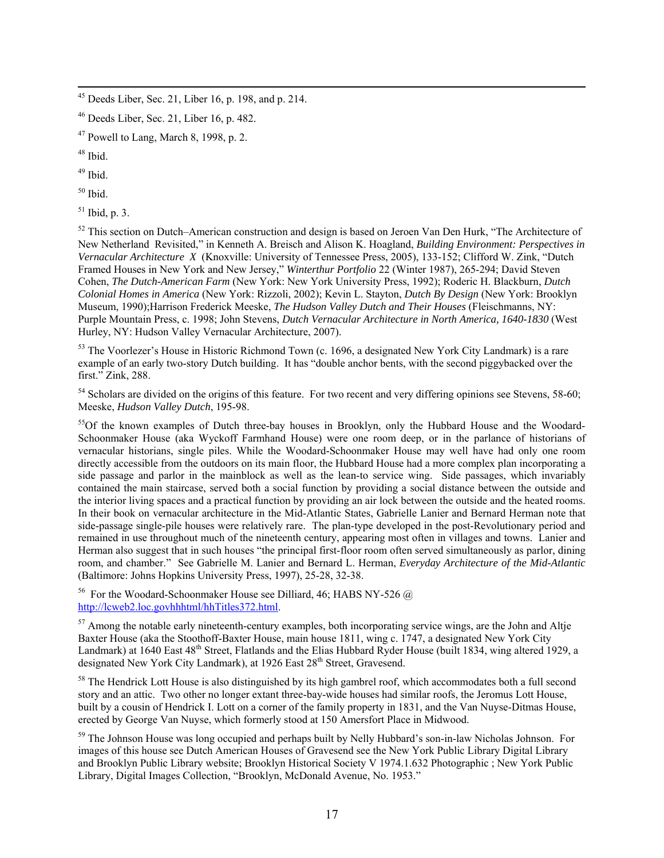$49$  Ibid.

 $50$  Ibid.

 $51$  Ibid, p. 3.

 $52$  This section on Dutch–American construction and design is based on Jeroen Van Den Hurk, "The Architecture of New Netherland Revisited," in Kenneth A. Breisch and Alison K. Hoagland, *Building Environment: Perspectives in Vernacular Architecture X* (Knoxville: University of Tennessee Press, 2005), 133-152; Clifford W. Zink, "Dutch Framed Houses in New York and New Jersey," *Winterthur Portfolio* 22 (Winter 1987), 265-294; David Steven Cohen, *The Dutch-American Farm* (New York: New York University Press, 1992); Roderic H. Blackburn, *Dutch Colonial Homes in America* (New York: Rizzoli, 2002); Kevin L. Stayton, *Dutch By Design* (New York: Brooklyn Museum, 1990);Harrison Frederick Meeske, *The Hudson Valley Dutch and Their Houses* (Fleischmanns, NY: Purple Mountain Press, c. 1998; John Stevens, *Dutch Vernacular Architecture in North America, 1640-1830* (West Hurley, NY: Hudson Valley Vernacular Architecture, 2007).

<sup>53</sup> The Voorlezer's House in Historic Richmond Town (c. 1696, a designated New York City Landmark) is a rare example of an early two-story Dutch building. It has "double anchor bents, with the second piggybacked over the first." Zink, 288.

<sup>54</sup> Scholars are divided on the origins of this feature. For two recent and very differing opinions see Stevens, 58-60; Meeske, *Hudson Valley Dutch*, 195-98.

<sup>55</sup>Of the known examples of Dutch three-bay houses in Brooklyn, only the Hubbard House and the Woodard-Schoonmaker House (aka Wyckoff Farmhand House) were one room deep, or in the parlance of historians of vernacular historians, single piles. While the Woodard-Schoonmaker House may well have had only one room directly accessible from the outdoors on its main floor, the Hubbard House had a more complex plan incorporating a side passage and parlor in the mainblock as well as the lean-to service wing. Side passages, which invariably contained the main staircase, served both a social function by providing a social distance between the outside and the interior living spaces and a practical function by providing an air lock between the outside and the heated rooms. In their book on vernacular architecture in the Mid-Atlantic States, Gabrielle Lanier and Bernard Herman note that side-passage single-pile houses were relatively rare. The plan-type developed in the post-Revolutionary period and remained in use throughout much of the nineteenth century, appearing most often in villages and towns. Lanier and Herman also suggest that in such houses "the principal first-floor room often served simultaneously as parlor, dining room, and chamber." See Gabrielle M. Lanier and Bernard L. Herman, *Everyday Architecture of the Mid-Atlantic* (Baltimore: Johns Hopkins University Press, 1997), 25-28, 32-38.

<sup>56</sup> For the Woodard-Schoonmaker House see Dilliard, 46; HABS NY-526  $\omega$ [http://lcweb2.loc.govhhhtml/hhTitles372.html.](http://lcweb2.loc.govhhhtml/hhTitles372.html)

<sup>57</sup> Among the notable early nineteenth-century examples, both incorporating service wings, are the John and Altje Baxter House (aka the Stoothoff-Baxter House, main house 1811, wing c. 1747, a designated New York City Landmark) at 1640 East 48<sup>th</sup> Street, Flatlands and the Elias Hubbard Ryder House (built 1834, wing altered 1929, a designated New York City Landmark), at 1926 East 28<sup>th</sup> Street, Gravesend.

<sup>58</sup> The Hendrick Lott House is also distinguished by its high gambrel roof, which accommodates both a full second story and an attic. Two other no longer extant three-bay-wide houses had similar roofs, the Jeromus Lott House, built by a cousin of Hendrick I. Lott on a corner of the family property in 1831, and the Van Nuyse-Ditmas House, erected by George Van Nuyse, which formerly stood at 150 Amersfort Place in Midwood.

<sup>59</sup> The Johnson House was long occupied and perhaps built by Nelly Hubbard's son-in-law Nicholas Johnson. For images of this house see Dutch American Houses of Gravesend see the New York Public Library Digital Library and Brooklyn Public Library website; Brooklyn Historical Society V 1974.1.632 Photographic ; New York Public Library, Digital Images Collection, "Brooklyn, McDonald Avenue, No. 1953."

 $45$  Deeds Liber, Sec. 21, Liber 16, p. 198, and p. 214.

<sup>46</sup> Deeds Liber, Sec. 21, Liber 16, p. 482.

 $47$  Powell to Lang, March 8, 1998, p. 2.

<sup>48</sup> Ibid.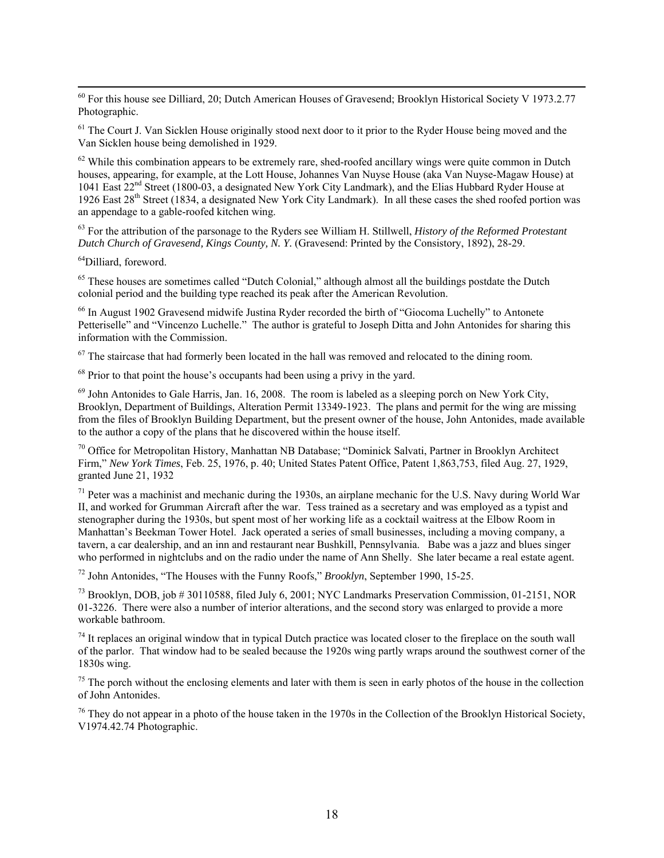<sup>60</sup> For this house see Dilliard, 20; Dutch American Houses of Gravesend; Brooklyn Historical Society V 1973.2.77 Photographic.

<sup>61</sup> The Court J. Van Sicklen House originally stood next door to it prior to the Ryder House being moved and the Van Sicklen house being demolished in 1929.

 $62$  While this combination appears to be extremely rare, shed-roofed ancillary wings were quite common in Dutch houses, appearing, for example, at the Lott House, Johannes Van Nuyse House (aka Van Nuyse-Magaw House) at 1041 East 22nd Street (1800-03, a designated New York City Landmark), and the Elias Hubbard Ryder House at 1926 East 28th Street (1834, a designated New York City Landmark). In all these cases the shed roofed portion was an appendage to a gable-roofed kitchen wing.

63 For the attribution of the parsonage to the Ryders see William H. Stillwell, *History of the Reformed Protestant Dutch Church of Gravesend, Kings County, N. Y.* (Gravesend: Printed by the Consistory, 1892), 28-29.

<sup>64</sup>Dilliard, foreword.

<sup>65</sup> These houses are sometimes called "Dutch Colonial," although almost all the buildings postdate the Dutch colonial period and the building type reached its peak after the American Revolution.

<sup>66</sup> In August 1902 Gravesend midwife Justina Ryder recorded the birth of "Giocoma Luchelly" to Antonete Petteriselle" and "Vincenzo Luchelle." The author is grateful to Joseph Ditta and John Antonides for sharing this information with the Commission.

 $67$  The staircase that had formerly been located in the hall was removed and relocated to the dining room.

<sup>68</sup> Prior to that point the house's occupants had been using a privy in the yard.

 $^{69}$  John Antonides to Gale Harris, Jan. 16, 2008. The room is labeled as a sleeping porch on New York City, Brooklyn, Department of Buildings, Alteration Permit 13349-1923. The plans and permit for the wing are missing from the files of Brooklyn Building Department, but the present owner of the house, John Antonides, made available to the author a copy of the plans that he discovered within the house itself.

70 Office for Metropolitan History, Manhattan NB Database; "Dominick Salvati, Partner in Brooklyn Architect Firm," *New York Times*, Feb. 25, 1976, p. 40; United States Patent Office, Patent 1,863,753, filed Aug. 27, 1929, granted June 21, 1932

 $71$  Peter was a machinist and mechanic during the 1930s, an airplane mechanic for the U.S. Navy during World War II, and worked for Grumman Aircraft after the war. Tess trained as a secretary and was employed as a typist and stenographer during the 1930s, but spent most of her working life as a cocktail waitress at the Elbow Room in Manhattan's Beekman Tower Hotel. Jack operated a series of small businesses, including a moving company, a tavern, a car dealership, and an inn and restaurant near Bushkill, Pennsylvania. Babe was a jazz and blues singer who performed in nightclubs and on the radio under the name of Ann Shelly. She later became a real estate agent.

72 John Antonides, "The Houses with the Funny Roofs," *Brooklyn*, September 1990, 15-25.

 $^{73}$  Brooklyn, DOB, job # 30110588, filed July 6, 2001; NYC Landmarks Preservation Commission, 01-2151, NOR 01-3226. There were also a number of interior alterations, and the second story was enlarged to provide a more workable bathroom.

 $74$  It replaces an original window that in typical Dutch practice was located closer to the fireplace on the south wall of the parlor. That window had to be sealed because the 1920s wing partly wraps around the southwest corner of the 1830s wing.

 $75$  The porch without the enclosing elements and later with them is seen in early photos of the house in the collection of John Antonides.

 $76$  They do not appear in a photo of the house taken in the 1970s in the Collection of the Brooklyn Historical Society, V1974.42.74 Photographic.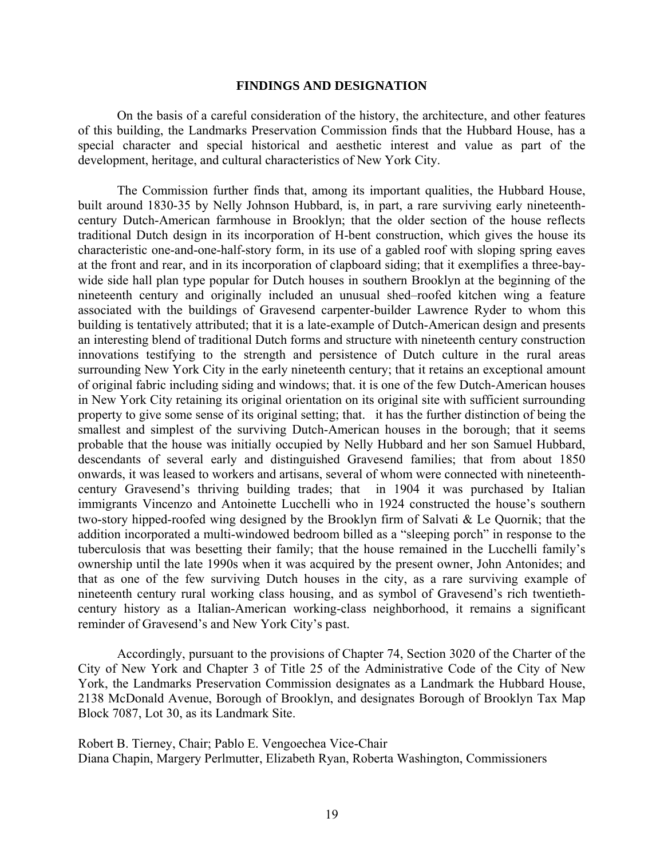#### **FINDINGS AND DESIGNATION**

<span id="page-18-1"></span> On the basis of a careful consideration of the history, the architecture, and other features of this building, the Landmarks Preservation Commission finds that the Hubbard House, has a special character and special historical and aesthetic interest and value as part of the development, heritage, and cultural characteristics of New York City.

 The Commission further finds that, among its important qualities, the Hubbard House, built around 1830-35 by Nelly Johnson Hubbard, is, in part, a rare surviving early nineteenthcentury Dutch-American farmhouse in Brooklyn; that the older section of the house reflects traditional Dutch design in its incorporation of H-bent construction, which gives the house its characteristic one-and-one-half-story form, in its use of a gabled roof with sloping spring eaves at the front and rear, and in its incorporation of clapboard siding; that it exemplifies a three-baywide side hall plan type popular for Dutch houses in southern Brooklyn at the beginning of the nineteenth century and originally included an unusual shed–roofed kitchen wing a feature associated with the buildings of Gravesend carpenter-builder Lawrence Ryder to whom this building is tentatively attributed; that it is a late-example of Dutch-American design and presents an interesting blend of traditional Dutch forms and structure with nineteenth century construction innovations testifying to the strength and persistence of Dutch culture in the rural areas surrounding New York City in the early nineteenth century; that it retains an exceptional amount of original fabric including siding and windows; that. it is one of the few Dutch-American houses in New York City retaining its original orientation on its original site with sufficient surrounding property to give some sense of its original setting; that. it has the further distinction of being the smallest and simplest of the surviving Dutch-American houses in the borough; that it seems probable that the house was initially occupied by Nelly Hubbard and her son Samuel Hubbard, descendants of several early and distinguished Gravesend families; that from about 1850 onwards, it was leased to workers and artisans, several of whom were connected with nineteenthcentury Gravesend's thriving building trades; that in 1904 it was purchased by Italian immigrants Vincenzo and Antoinette Lucchelli who in 1924 constructed the house's southern two-story hipped-roofed wing designed by the Brooklyn firm of Salvati & Le Quornik; that the addition incorporated a multi-windowed bedroom billed as a "sleeping porch" in response to the tuberculosis that was besetting their family; that the house remained in the Lucchelli family's ownership until the late 1990s when it was acquired by the present owner, John Antonides; and that as one of the few surviving Dutch houses in the city, as a rare surviving example of nineteenth century rural working class housing, and as symbol of Gravesend's rich twentiethcentury history as a Italian-American working-class neighborhood, it remains a significant reminder of Gravesend's and New York City's past.

<span id="page-18-0"></span> Accordingly, pursuant to the provisions of Chapter 74, Section 3020 of the Charter of the City of New York and Chapter 3 of Title 25 of the Administrative Code of the City of New York, the Landmarks Preservation Commission designates as a Landmark the Hubbard House, 2138 McDonald Avenue, Borough of Brooklyn, and designates Borough of Brooklyn Tax Map Block 7087, Lot 30, as its Landmark Site.

Robert B. Tierney, Chair; Pablo E. Vengoechea Vice-Chair Diana Chapin, Margery Perlmutter, Elizabeth Ryan, Roberta Washington, Commissioners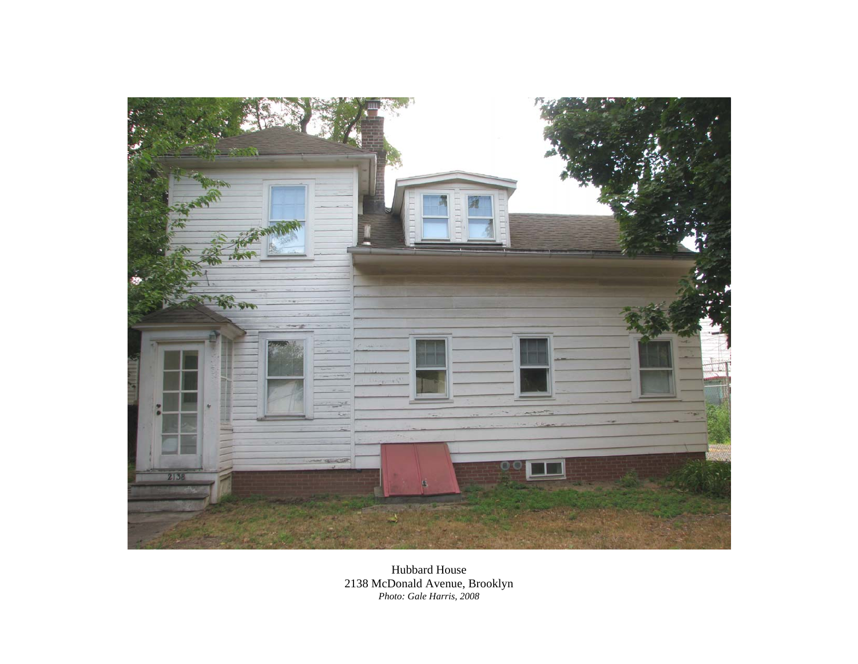

Hubbard House 2138 McDonald Avenue, Brooklyn *Photo: Gale Harris, 2008*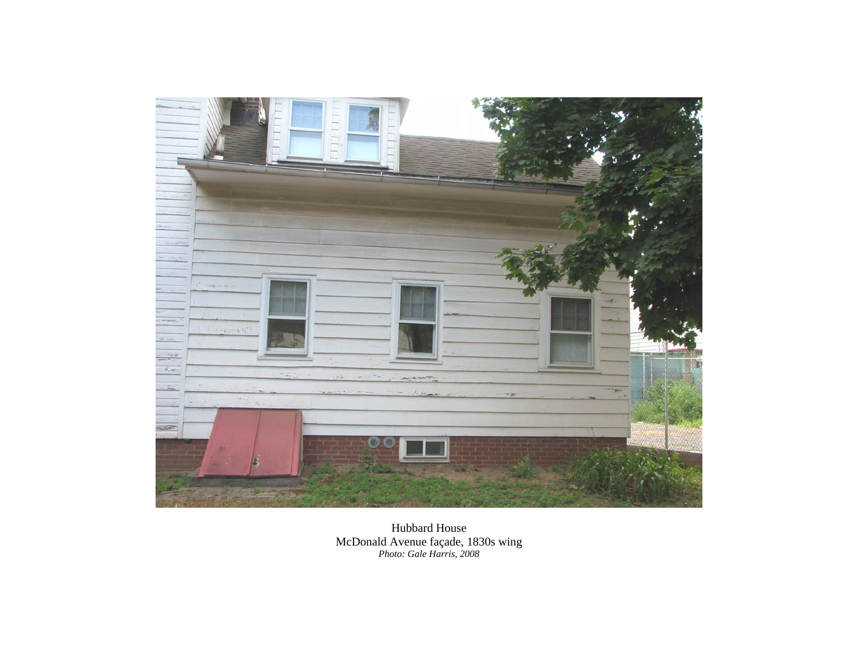

Hubbard House McDonald Avenue façade, 1830s wing *Photo: Gale Harris, 2008*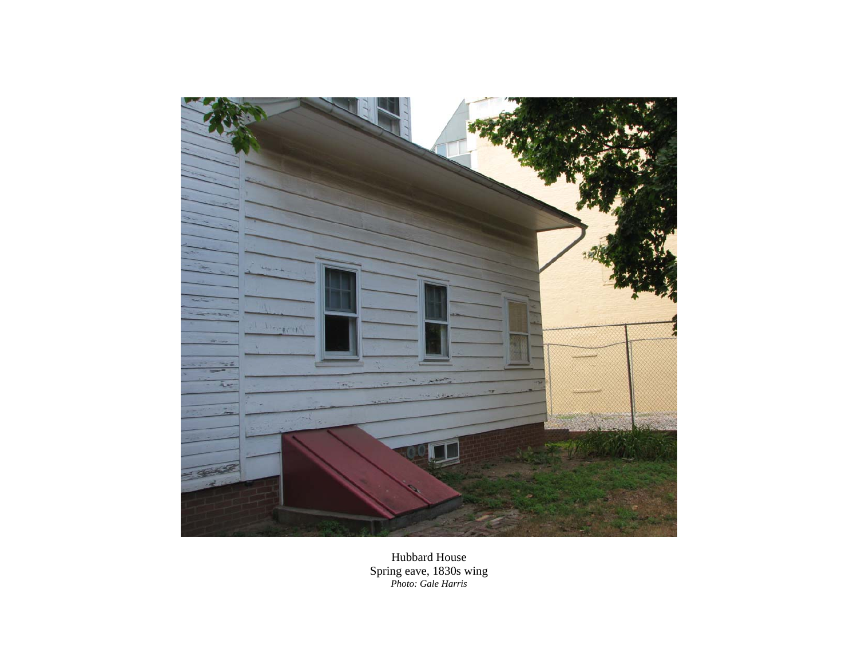

Hubbard House Spring eave, 1830s wing *Photo: Gale Harris*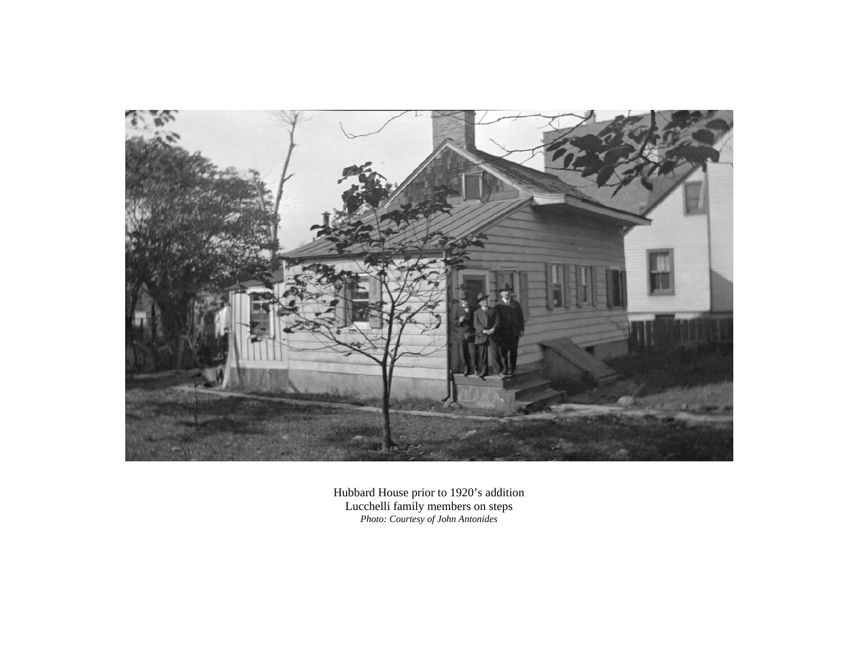

Hubbard House prior to 1920's addition Lucchelli family members on steps *Photo: Courtesy of John Antonides*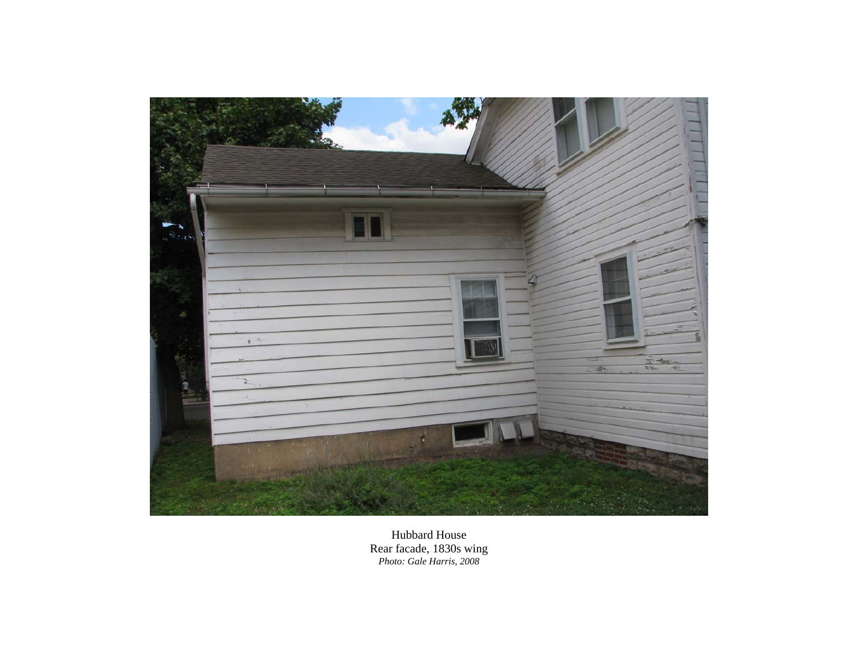

Hubbard House Rear facade, 1830s wing *Photo: Gale Harris, 2008*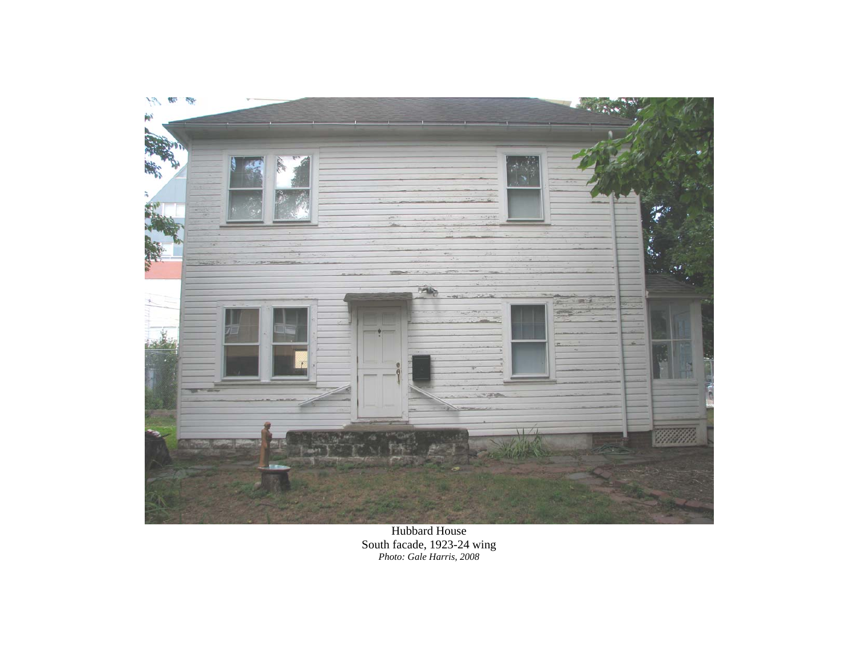

Hubbard House South facade, 1923-24 wing *Photo: Gale Harris, 2008*